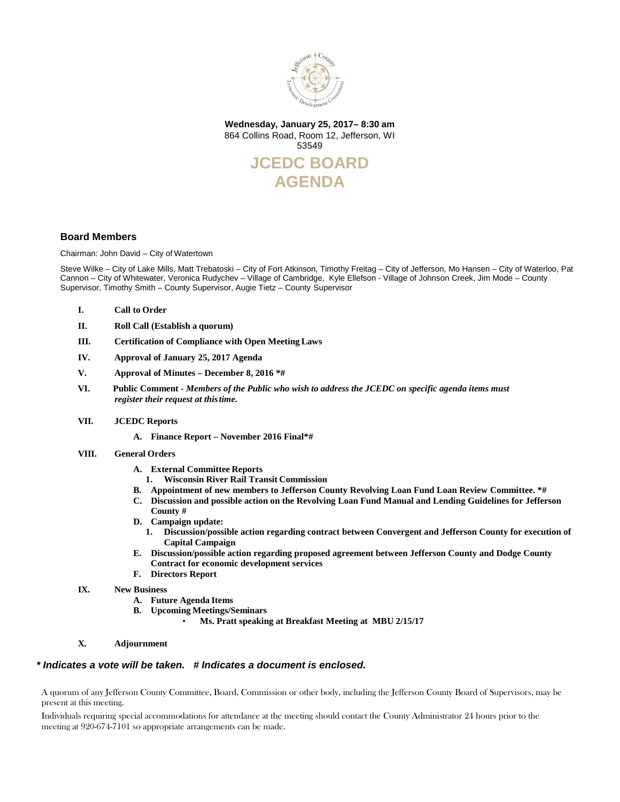

**Wednesday, January 25, 2017– 8:30 am** 864 Collins Road, Room 12, Jefferson, WI 53549



#### **Board Members**

Chairman: John David – City of Watertown

Steve Wilke – City of Lake Mills, Matt Trebatoski – City of Fort Atkinson, Timothy Freitag – City of Jefferson, Mo Hansen – City of Waterloo, Pat Cannon – City of Whitewater, Veronica Rudychev – Village of Cambridge, Kyle Ellefson - Village of Johnson Creek, Jim Mode – County Supervisor, Timothy Smith – County Supervisor, Augie Tietz – County Supervisor

- **I. Call to Order**
- **II. Roll Call (Establish a quorum)**
- **III. Certification of Compliance with Open Meeting Laws**
- **IV. Approval of January 25, 2017 Agenda**
- **V. Approval of Minutes – December 8, 2016 \*#**
- **VI.****Public Comment -** *Members of the Public who wish to address the JCEDC on specific agenda items must register their request at thistime.*
- **VII. JCEDC Reports**
	- **A. Finance Report – November 2016 Final\*#**
- **VIII. General Orders**
	- **A. External Committee Reports**
	- **1. Wisconsin River Rail Transit Commission**
	- **B. Appointment of new members to Jefferson County Revolving Loan Fund Loan Review Committee. \*#**
	- **C. Discussion and possible action on the Revolving Loan Fund Manual and Lending Guidelines for Jefferson County #**
	- **D. Campaign update:**
		- **1. Discussion/possible action regarding contract between Convergent and Jefferson County for execution of Capital Campaign**
	- **E. Discussion/possible action regarding proposed agreement between Jefferson County and Dodge County Contract for economic development services**
	- **F. Directors Report**
- **IX. New Business**
	- **A. Future Agenda Items**
	- **B. Upcoming Meetings/Seminars**
		- **Ms. Pratt speaking at Breakfast Meeting at MBU 2/15/17**
- **X. Adjournment**

#### *\* Indicates a vote will be taken. # Indicates a document is enclosed.*

A quorum of any Jefferson County Committee, Board, Commission or other body, including the Jefferson County Board of Supervisors, may be present at this meeting.

Individuals requiring special accommodations for attendance at the meeting should contact the County Administrator 24 hours prior to the meeting at 920-674-7101 so appropriate arrangements can be made.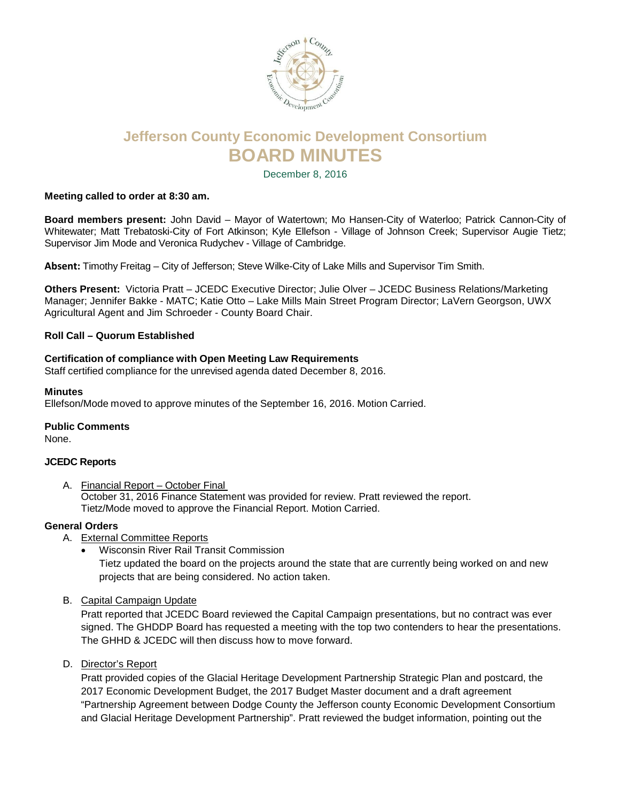

# **Jefferson County Economic Development Consortium BOARD MINUTES**

December 8, 2016

#### **Meeting called to order at 8:30 am.**

**Board members present:** John David – Mayor of Watertown; Mo Hansen-City of Waterloo; Patrick Cannon-City of Whitewater; Matt Trebatoski-City of Fort Atkinson; Kyle Ellefson - Village of Johnson Creek; Supervisor Augie Tietz; Supervisor Jim Mode and Veronica Rudychev - Village of Cambridge.

**Absent:** Timothy Freitag – City of Jefferson; Steve Wilke-City of Lake Mills and Supervisor Tim Smith.

**Others Present:** Victoria Pratt – JCEDC Executive Director; Julie Olver – JCEDC Business Relations/Marketing Manager; Jennifer Bakke - MATC; Katie Otto – Lake Mills Main Street Program Director; LaVern Georgson, UWX Agricultural Agent and Jim Schroeder - County Board Chair.

#### **Roll Call – Quorum Established**

#### **Certification of compliance with Open Meeting Law Requirements**

Staff certified compliance for the unrevised agenda dated December 8, 2016.

#### **Minutes**

Ellefson/Mode moved to approve minutes of the September 16, 2016. Motion Carried.

#### **Public Comments**

None.

#### **JCEDC Reports**

A. Financial Report – October Final October 31, 2016 Finance Statement was provided for review. Pratt reviewed the report. Tietz/Mode moved to approve the Financial Report. Motion Carried.

#### **General Orders**

- A. External Committee Reports
	- Wisconsin River Rail Transit Commission

Tietz updated the board on the projects around the state that are currently being worked on and new projects that are being considered. No action taken.

B. Capital Campaign Update

Pratt reported that JCEDC Board reviewed the Capital Campaign presentations, but no contract was ever signed. The GHDDP Board has requested a meeting with the top two contenders to hear the presentations. The GHHD & JCEDC will then discuss how to move forward.

D. Director's Report

Pratt provided copies of the Glacial Heritage Development Partnership Strategic Plan and postcard, the 2017 Economic Development Budget, the 2017 Budget Master document and a draft agreement "Partnership Agreement between Dodge County the Jefferson county Economic Development Consortium and Glacial Heritage Development Partnership". Pratt reviewed the budget information, pointing out the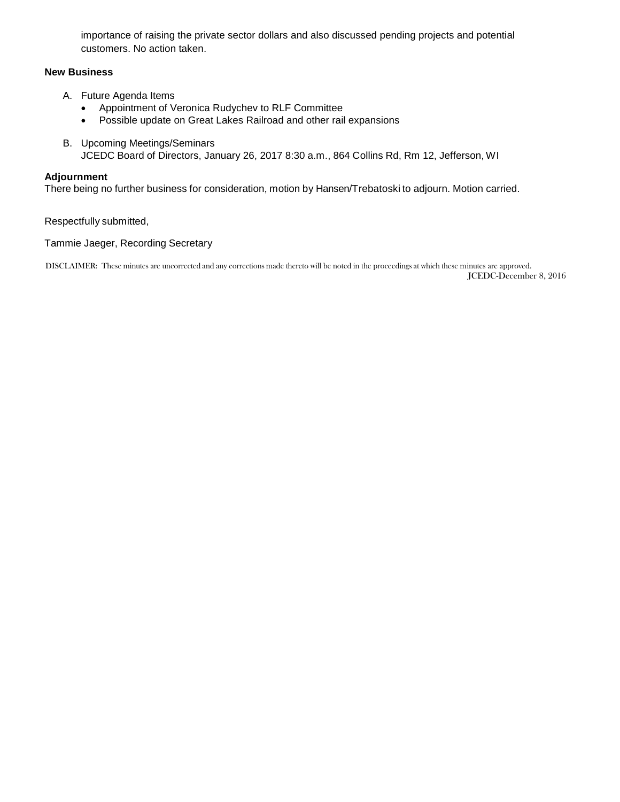importance of raising the private sector dollars and also discussed pending projects and potential customers. No action taken.

#### **New Business**

- A. Future Agenda Items
	- Appointment of Veronica Rudychev to RLF Committee
	- Possible update on Great Lakes Railroad and other rail expansions
- B. Upcoming Meetings/Seminars JCEDC Board of Directors, January 26, 2017 8:30 a.m., 864 Collins Rd, Rm 12, Jefferson, WI

#### **Adjournment**

There being no further business for consideration, motion by Hansen/Trebatoski to adjourn. Motion carried.

Respectfully submitted,

Tammie Jaeger, Recording Secretary

DISCLAIMER: These minutes are uncorrected and any corrections made thereto will be noted in the proceedings at which these minutes are approved. JCEDC-December 8, 2016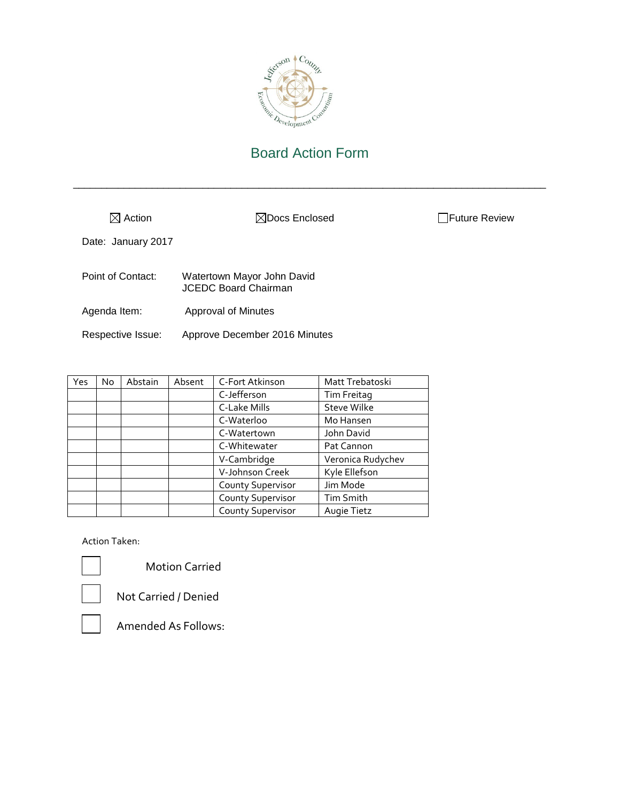

\_\_\_\_\_\_\_\_\_\_\_\_\_\_\_\_\_\_\_\_\_\_\_\_\_\_\_\_\_\_\_\_\_\_\_\_\_\_\_\_\_\_\_\_\_\_\_\_\_\_\_\_\_\_\_\_\_\_\_\_\_\_\_\_\_\_\_\_\_\_\_\_\_\_\_\_\_\_\_\_\_\_\_\_

| $\boxtimes$ Action | $\boxtimes$ Docs Enclosed                                 | Future Review |
|--------------------|-----------------------------------------------------------|---------------|
| Date: January 2017 |                                                           |               |
| Point of Contact:  | Watertown Mayor John David<br><b>JCEDC Board Chairman</b> |               |
| Agenda Item:       | Approval of Minutes                                       |               |
| Respective Issue:  | Approve December 2016 Minutes                             |               |

| Yes | <b>No</b> | Abstain | Absent | C-Fort Atkinson          | Matt Trebatoski    |
|-----|-----------|---------|--------|--------------------------|--------------------|
|     |           |         |        | C-Jefferson              | Tim Freitag        |
|     |           |         |        | C-Lake Mills             | <b>Steve Wilke</b> |
|     |           |         |        | C-Waterloo               | Mo Hansen          |
|     |           |         |        | C-Watertown              | John David         |
|     |           |         |        | C-Whitewater             | Pat Cannon         |
|     |           |         |        | V-Cambridge              | Veronica Rudychev  |
|     |           |         |        | V-Johnson Creek          | Kyle Ellefson      |
|     |           |         |        | <b>County Supervisor</b> | Jim Mode           |
|     |           |         |        | <b>County Supervisor</b> | <b>Tim Smith</b>   |
|     |           |         |        | <b>County Supervisor</b> | Augie Tietz        |

Action Taken:

Motion Carried



Not Carried / Denied

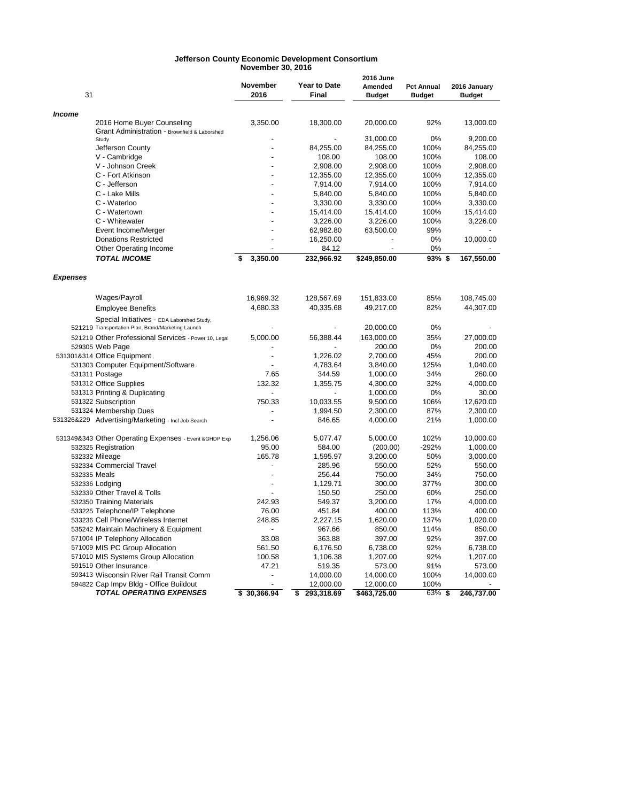#### **Jefferson County Economic Development Consortium November 30, 2016**

| 31              |                                                                                                  | November<br>2016         | <b>Year to Date</b><br><b>Final</b> | 2016 June<br>Amended<br><b>Budget</b> | <b>Pct Annual</b><br><b>Budget</b> | 2016 January<br><b>Budget</b> |
|-----------------|--------------------------------------------------------------------------------------------------|--------------------------|-------------------------------------|---------------------------------------|------------------------------------|-------------------------------|
| <b>Income</b>   |                                                                                                  |                          |                                     |                                       |                                    |                               |
|                 | 2016 Home Buyer Counseling<br>Grant Administration - Brownfield & Laborshed                      | 3,350.00                 | 18,300.00                           | 20,000.00                             | 92%                                | 13,000.00                     |
|                 | Study                                                                                            |                          |                                     | 31,000.00                             | 0%                                 | 9,200.00                      |
|                 | Jefferson County                                                                                 |                          | 84,255.00                           | 84,255.00                             | 100%                               | 84,255.00                     |
|                 | V - Cambridge                                                                                    |                          | 108.00                              | 108.00                                | 100%                               | 108.00                        |
|                 | V - Johnson Creek                                                                                |                          | 2,908.00                            | 2,908.00                              | 100%                               | 2,908.00                      |
|                 | C - Fort Atkinson                                                                                |                          | 12,355.00                           | 12,355.00                             | 100%                               | 12,355.00                     |
|                 | C - Jefferson                                                                                    |                          | 7,914.00                            | 7,914.00                              | 100%                               | 7,914.00                      |
|                 | C - Lake Mills                                                                                   |                          | 5,840.00                            | 5,840.00                              | 100%                               | 5,840.00                      |
|                 | C - Waterloo                                                                                     |                          | 3,330.00                            | 3,330.00                              | 100%                               | 3,330.00                      |
|                 | C - Watertown                                                                                    |                          | 15,414.00                           | 15,414.00                             | 100%                               | 15,414.00                     |
|                 | C - Whitewater                                                                                   |                          | 3,226.00                            | 3,226.00                              | 100%                               | 3,226.00                      |
|                 | Event Income/Merger                                                                              |                          | 62,982.80                           | 63,500.00                             | 99%                                |                               |
|                 | <b>Donations Restricted</b>                                                                      |                          | 16,250.00                           |                                       | 0%                                 | 10,000.00                     |
|                 | Other Operating Income                                                                           |                          | 84.12                               | $\overline{a}$                        | 0%                                 |                               |
|                 | <b>TOTAL INCOME</b>                                                                              | 3,350.00<br>\$           | 232,966.92                          | \$249,850.00                          | 93%\$                              | 167,550.00                    |
| <b>Expenses</b> |                                                                                                  |                          |                                     |                                       |                                    |                               |
|                 | Wages/Payroll                                                                                    | 16,969.32                | 128,567.69                          | 151,833.00                            | 85%                                | 108,745.00                    |
|                 | <b>Employee Benefits</b>                                                                         | 4,680.33                 | 40,335.68                           | 49,217.00                             | 82%                                | 44,307.00                     |
|                 | Special Initiatives - EDA Laborshed Study,<br>521219 Transportation Plan, Brand/Marketing Launch |                          |                                     | 20,000.00                             | 0%                                 |                               |
|                 | 521219 Other Professional Services - Power 10, Legal                                             | 5,000.00                 | 56,388.44                           | 163,000.00                            | 35%                                | 27,000.00                     |
|                 | 529305 Web Page                                                                                  |                          |                                     | 200.00                                | 0%                                 | 200.00                        |
|                 | 531301&314 Office Equipment                                                                      |                          | 1,226.02                            | 2,700.00                              | 45%                                | 200.00                        |
|                 | 531303 Computer Equipment/Software                                                               |                          | 4,783.64                            | 3,840.00                              | 125%                               | 1,040.00                      |
|                 | 531311 Postage                                                                                   | 7.65                     | 344.59                              | 1,000.00                              | 34%                                | 260.00                        |
|                 | 531312 Office Supplies                                                                           | 132.32                   | 1,355.75                            | 4,300.00                              | 32%                                | 4,000.00                      |
|                 | 531313 Printing & Duplicating                                                                    |                          |                                     | 1,000.00                              | 0%                                 | 30.00                         |
|                 | 531322 Subscription                                                                              | 750.33                   | 10,033.55                           | 9,500.00                              | 106%                               | 12,620.00                     |
|                 | 531324 Membership Dues                                                                           |                          | 1,994.50                            | 2,300.00                              | 87%                                | 2,300.00                      |
|                 | 531326&229 Advertising/Marketing - Incl Job Search                                               | $\overline{a}$           | 846.65                              | 4,000.00                              | 21%                                | 1,000.00                      |
|                 |                                                                                                  |                          |                                     |                                       |                                    |                               |
|                 | 531349&343 Other Operating Expenses - Event &GHDP Exp                                            | 1,256.06                 | 5,077.47                            | 5,000.00                              | 102%                               | 10,000.00                     |
|                 | 532325 Registration                                                                              | 95.00                    | 584.00                              | (200.00)                              | $-292%$                            | 1,000.00                      |
|                 | 532332 Mileage                                                                                   | 165.78                   | 1,595.97                            | 3,200.00                              | 50%                                | 3,000.00                      |
|                 | 532334 Commercial Travel                                                                         |                          | 285.96                              | 550.00                                | 52%                                | 550.00                        |
| 532335 Meals    |                                                                                                  | $\overline{a}$           | 256.44                              | 750.00                                | 34%                                | 750.00                        |
|                 | 532336 Lodging                                                                                   | $\overline{a}$           | 1,129.71                            | 300.00                                | 377%                               | 300.00                        |
|                 | 532339 Other Travel & Tolls                                                                      |                          | 150.50                              | 250.00                                | 60%                                | 250.00                        |
|                 | 532350 Training Materials                                                                        | 242.93                   | 549.37                              | 3,200.00                              | 17%                                | 4,000.00                      |
|                 | 533225 Telephone/IP Telephone                                                                    | 76.00                    | 451.84                              | 400.00                                | 113%                               | 400.00                        |
|                 | 533236 Cell Phone/Wireless Internet                                                              | 248.85<br>$\overline{a}$ | 2,227.15                            | 1,620.00                              | 137%                               | 1,020.00                      |
|                 | 535242 Maintain Machinery & Equipment                                                            |                          | 967.66<br>363.88                    | 850.00                                | 114%                               | 850.00                        |
|                 | 571004 IP Telephony Allocation                                                                   | 33.08<br>561.50          |                                     | 397.00<br>6,738.00                    | 92%<br>92%                         | 397.00                        |
|                 | 571009 MIS PC Group Allocation<br>571010 MIS Systems Group Allocation                            | 100.58                   | 6,176.50                            |                                       | 92%                                | 6,738.00                      |
|                 | 591519 Other Insurance                                                                           | 47.21                    | 1,106.38<br>519.35                  | 1,207.00                              | 91%                                | 1,207.00<br>573.00            |
|                 | 593413 Wisconsin River Rail Transit Comm                                                         |                          | 14,000.00                           | 573.00<br>14,000.00                   | 100%                               | 14,000.00                     |
|                 | 594822 Cap Impv Bldg - Office Buildout                                                           |                          | 12,000.00                           | 12,000.00                             | 100%                               |                               |
|                 | <b>TOTAL OPERATING EXPENSES</b>                                                                  | \$30,366.94              | \$<br>293,318.69                    | \$463,725.00                          | 63% \$                             | 246,737.00                    |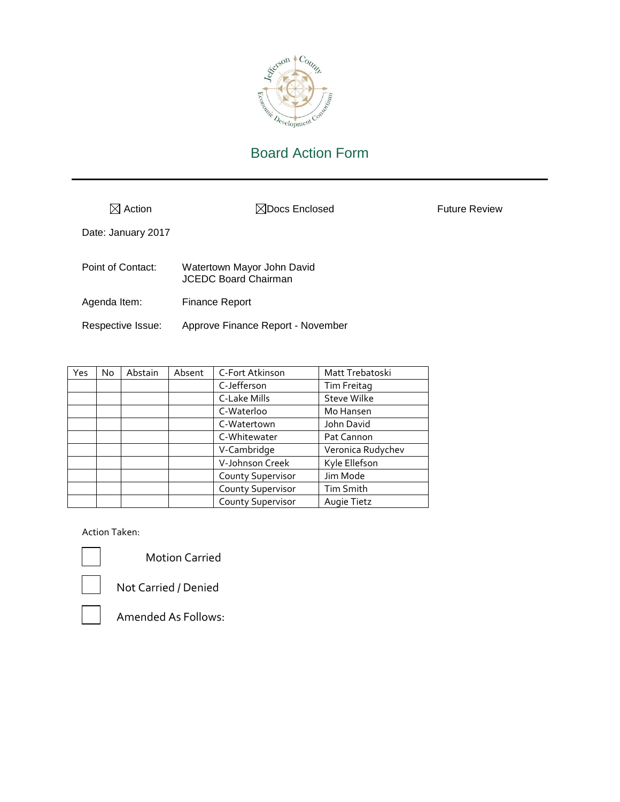

 $\boxtimes$  Action  $\boxtimes$  Docs Enclosed Future Review

Date: January 2017

| Point of Contact: | Watertown Mayor John David<br><b>JCEDC Board Chairman</b> |
|-------------------|-----------------------------------------------------------|
| Agenda Item:      | <b>Finance Report</b>                                     |

Respective Issue: Approve Finance Report - November

| Yes | No | Abstain | Absent | C-Fort Atkinson          | Matt Trebatoski    |
|-----|----|---------|--------|--------------------------|--------------------|
|     |    |         |        | C-Jefferson              | Tim Freitag        |
|     |    |         |        | C-Lake Mills             | <b>Steve Wilke</b> |
|     |    |         |        | C-Waterloo               | Mo Hansen          |
|     |    |         |        | C-Watertown              | John David         |
|     |    |         |        | C-Whitewater             | Pat Cannon         |
|     |    |         |        | V-Cambridge              | Veronica Rudychev  |
|     |    |         |        | V-Johnson Creek          | Kyle Ellefson      |
|     |    |         |        | <b>County Supervisor</b> | Jim Mode           |
|     |    |         |        | <b>County Supervisor</b> | Tim Smith          |
|     |    |         |        | <b>County Supervisor</b> | Augie Tietz        |

Action Taken:



Motion Carried



Not Carried / Denied

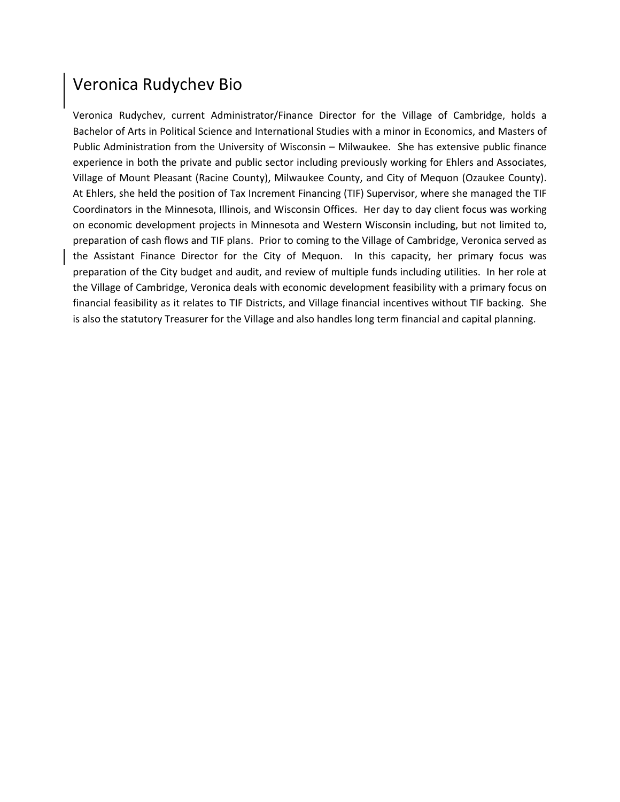# Veronica Rudychev Bio

Veronica Rudychev, current Administrator/Finance Director for the Village of Cambridge, holds a Bachelor of Arts in Political Science and International Studies with a minor in Economics, and Masters of Public Administration from the University of Wisconsin – Milwaukee. She has extensive public finance experience in both the private and public sector including previously working for Ehlers and Associates, Village of Mount Pleasant (Racine County), Milwaukee County, and City of Mequon (Ozaukee County). At Ehlers, she held the position of Tax Increment Financing (TIF) Supervisor, where she managed the TIF Coordinators in the Minnesota, Illinois, and Wisconsin Offices. Her day to day client focus was working on economic development projects in Minnesota and Western Wisconsin including, but not limited to, preparation of cash flows and TIF plans. Prior to coming to the Village of Cambridge, Veronica served as the Assistant Finance Director for the City of Mequon. In this capacity, her primary focus was preparation of the City budget and audit, and review of multiple funds including utilities. In her role at the Village of Cambridge, Veronica deals with economic development feasibility with a primary focus on financial feasibility as it relates to TIF Districts, and Village financial incentives without TIF backing. She is also the statutory Treasurer for the Village and also handles long term financial and capital planning.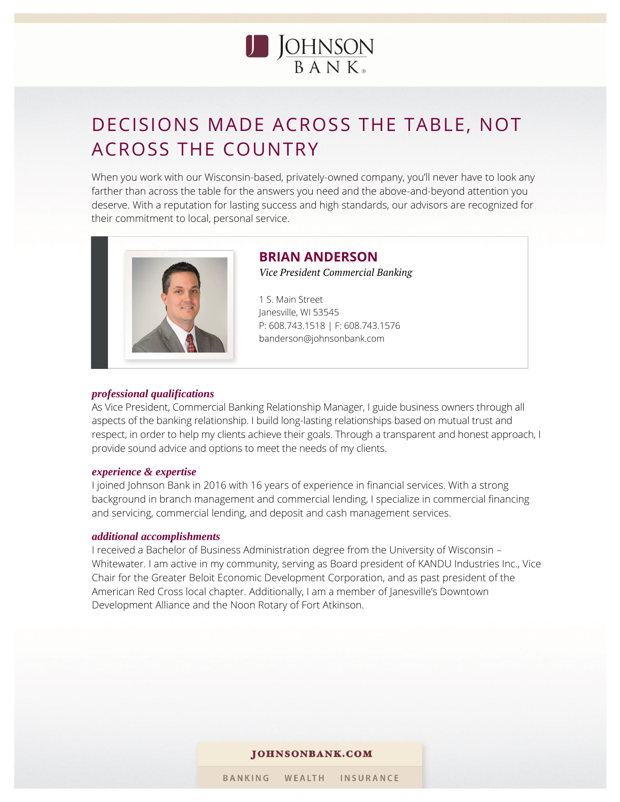

# DECISIONS MADE ACROSS THE TABLE, NOT ACROSS THE COUNTRY

When you work with our Wisconsin-based, privately-owned company, you'll never have to look any farther than across the table for the answers you need and the above-and-beyond attention you deserve. With a reputation for lasting success and high standards, our advisors are recognized for their commitment to local, personal service.



#### **BRIAN ANDERSON** *Vice President Commercial Banking*

1 S. Main Street Janesville, WI 53545 P: 608.743.1518 | F: 608.743.1576 banderson@johnsonbank.com

#### *professional qualifications*

As Vice President, Commercial Banking Relationship Manager, I guide business owners through all aspects of the banking relationship. I build long-lasting relationships based on mutual trust and respect, in order to help my clients achieve their goals. Through a transparent and honest approach, I provide sound advice and options to meet the needs of my clients.

#### *experience & expertise*

I joined Johnson Bank in 2016 with 16 years of experience in financial services. With a strong background in branch management and commercial lending, I specialize in commercial financing and servicing, commercial lending, and deposit and cash management services.

#### *additional accomplishments*

I received a Bachelor of Business Administration degree from the University of Wisconsin – Whitewater. I am active in my community, serving as Board president of KANDU Industries Inc., Vice Chair for the Greater Beloit Economic Development Corporation, and as past president of the American Red Cross local chapter. Additionally, I am a member of Janesville's Downtown Development Alliance and the Noon Rotary of Fort Atkinson.

#### JOHNSONBANK.COM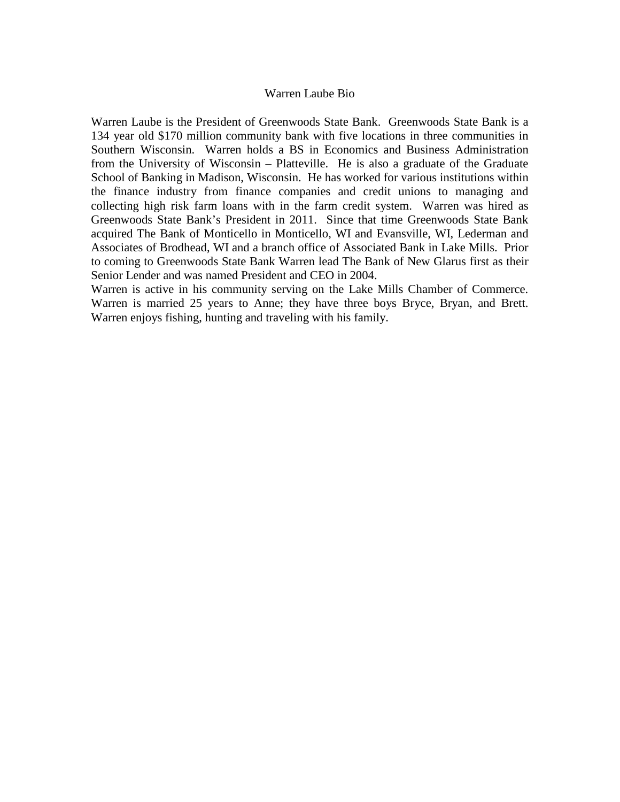#### Warren Laube Bio

Warren Laube is the President of Greenwoods State Bank. Greenwoods State Bank is a 134 year old \$170 million community bank with five locations in three communities in Southern Wisconsin. Warren holds a BS in Economics and Business Administration from the University of Wisconsin – Platteville. He is also a graduate of the Graduate School of Banking in Madison, Wisconsin. He has worked for various institutions within the finance industry from finance companies and credit unions to managing and collecting high risk farm loans with in the farm credit system. Warren was hired as Greenwoods State Bank's President in 2011. Since that time Greenwoods State Bank acquired The Bank of Monticello in Monticello, WI and Evansville, WI, Lederman and Associates of Brodhead, WI and a branch office of Associated Bank in Lake Mills. Prior to coming to Greenwoods State Bank Warren lead The Bank of New Glarus first as their Senior Lender and was named President and CEO in 2004.

Warren is active in his community serving on the Lake Mills Chamber of Commerce. Warren is married 25 years to Anne; they have three boys Bryce, Bryan, and Brett. Warren enjoys fishing, hunting and traveling with his family.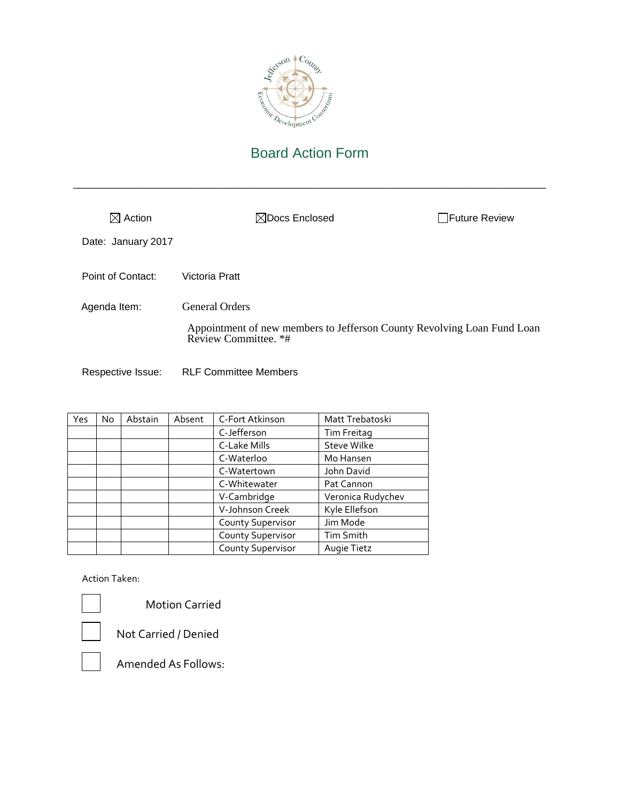

\_\_\_\_\_\_\_\_\_\_\_\_\_\_\_\_\_\_\_\_\_\_\_\_\_\_\_\_\_\_\_\_\_\_\_\_\_\_\_\_\_\_\_\_\_\_\_\_\_\_\_\_\_\_\_\_\_\_\_\_\_\_\_\_\_\_\_\_\_\_\_\_\_\_\_\_\_\_\_\_\_\_\_\_

| $\boxtimes$ Action | $\boxtimes$ Docs Enclosed                                                                       | <b>I</b> Future Review |
|--------------------|-------------------------------------------------------------------------------------------------|------------------------|
| Date: January 2017 |                                                                                                 |                        |
| Point of Contact:  | Victoria Pratt                                                                                  |                        |
| Agenda Item:       | <b>General Orders</b>                                                                           |                        |
|                    | Appointment of new members to Jefferson County Revolving Loan Fund Loan<br>Review Committee. *# |                        |
| Respective Issue:  | <b>RLF Committee Members</b>                                                                    |                        |

| Yes | No. | Abstain | Absent | C-Fort Atkinson          | Matt Trebatoski    |
|-----|-----|---------|--------|--------------------------|--------------------|
|     |     |         |        | C-Jefferson              | Tim Freitag        |
|     |     |         |        | C-Lake Mills             | <b>Steve Wilke</b> |
|     |     |         |        | C-Waterloo               | Mo Hansen          |
|     |     |         |        | C-Watertown              | John David         |
|     |     |         |        | C-Whitewater             | Pat Cannon         |
|     |     |         |        | V-Cambridge              | Veronica Rudychev  |
|     |     |         |        | V-Johnson Creek          | Kyle Ellefson      |
|     |     |         |        | <b>County Supervisor</b> | Jim Mode           |
|     |     |         |        | <b>County Supervisor</b> | Tim Smith          |
|     |     |         |        | County Supervisor        | Augie Tietz        |

Action Taken:



Motion Carried

Not Carried / Denied

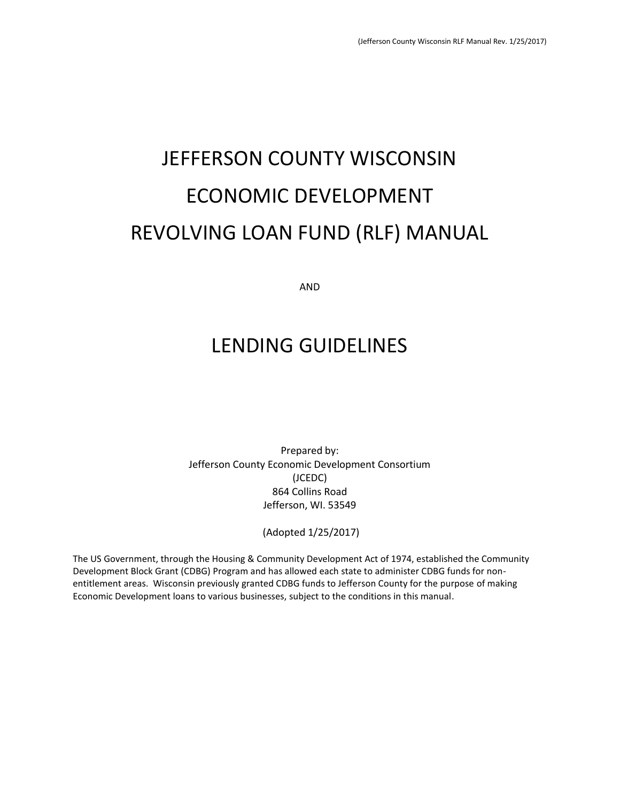# JEFFERSON COUNTY WISCONSIN ECONOMIC DEVELOPMENT REVOLVING LOAN FUND (RLF) MANUAL

AND

# LENDING GUIDELINES

Prepared by: Jefferson County Economic Development Consortium (JCEDC) 864 Collins Road Jefferson, WI. 53549

(Adopted 1/25/2017)

The US Government, through the Housing & Community Development Act of 1974, established the Community Development Block Grant (CDBG) Program and has allowed each state to administer CDBG funds for nonentitlement areas. Wisconsin previously granted CDBG funds to Jefferson County for the purpose of making Economic Development loans to various businesses, subject to the conditions in this manual.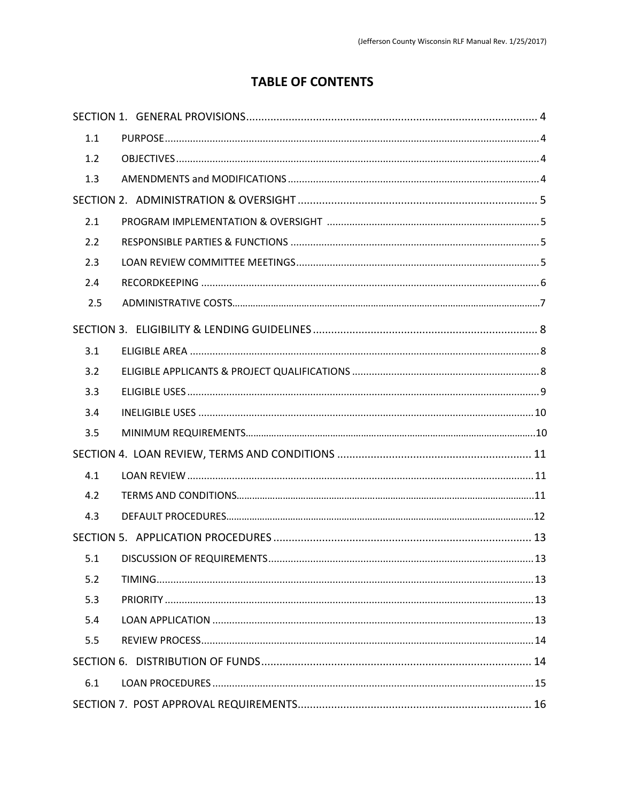### **TABLE OF CONTENTS**

| 1.1 |  |
|-----|--|
| 1.2 |  |
| 1.3 |  |
|     |  |
| 2.1 |  |
| 2.2 |  |
| 2.3 |  |
| 2.4 |  |
| 2.5 |  |
|     |  |
| 3.1 |  |
| 3.2 |  |
| 3.3 |  |
| 3.4 |  |
| 3.5 |  |
|     |  |
| 4.1 |  |
| 4.2 |  |
| 4.3 |  |
|     |  |
| 5.1 |  |
| 5.2 |  |
| 5.3 |  |
| 5.4 |  |
| 5.5 |  |
|     |  |
| 6.1 |  |
|     |  |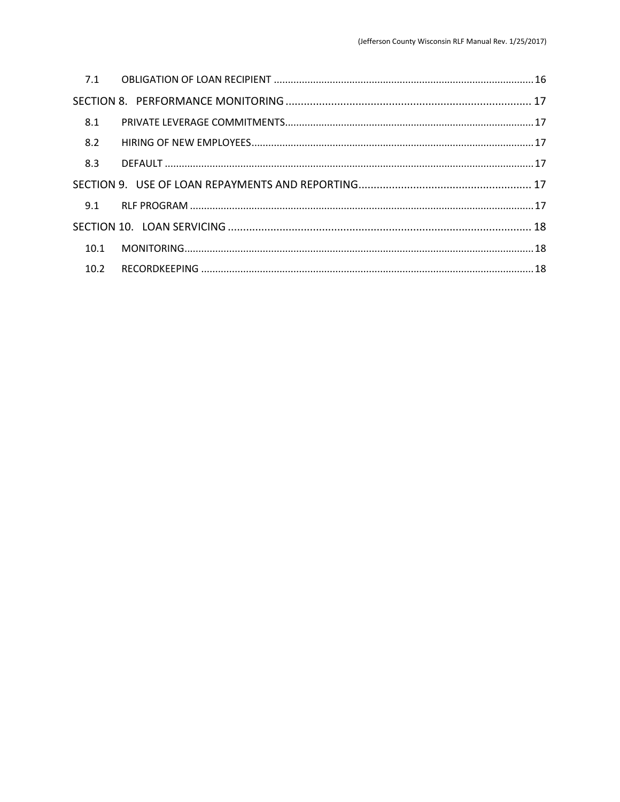| 8.1  |  |
|------|--|
| 8.2  |  |
| 8.3  |  |
|      |  |
|      |  |
|      |  |
| 10.1 |  |
| 10.2 |  |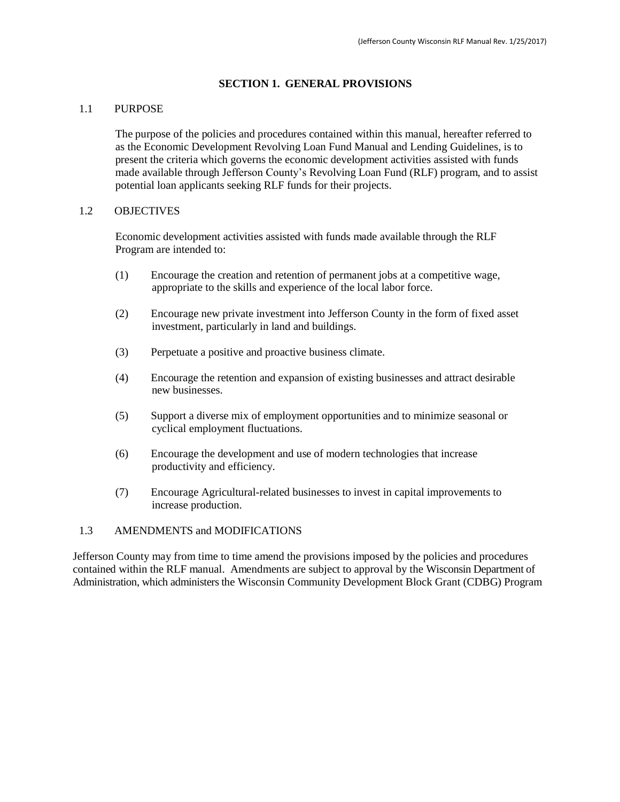#### **SECTION 1. GENERAL PROVISIONS**

#### 1.1 PURPOSE

The purpose of the policies and procedures contained within this manual, hereafter referred to as the Economic Development Revolving Loan Fund Manual and Lending Guidelines, is to present the criteria which governs the economic development activities assisted with funds made available through Jefferson County's Revolving Loan Fund (RLF) program, and to assist potential loan applicants seeking RLF funds for their projects.

#### 1.2 OBJECTIVES

Economic development activities assisted with funds made available through the RLF Program are intended to:

- (1) Encourage the creation and retention of permanent jobs at a competitive wage, appropriate to the skills and experience of the local labor force.
- (2) Encourage new private investment into Jefferson County in the form of fixed asset investment, particularly in land and buildings.
- (3) Perpetuate a positive and proactive business climate.
- (4) Encourage the retention and expansion of existing businesses and attract desirable new businesses.
- (5) Support a diverse mix of employment opportunities and to minimize seasonal or cyclical employment fluctuations.
- (6) Encourage the development and use of modern technologies that increase productivity and efficiency.
- (7) Encourage Agricultural-related businesses to invest in capital improvements to increase production.

#### 1.3 AMENDMENTS and MODIFICATIONS

Jefferson County may from time to time amend the provisions imposed by the policies and procedures contained within the RLF manual. Amendments are subject to approval by the Wisconsin Department of Administration, which administers the Wisconsin Community Development Block Grant (CDBG) Program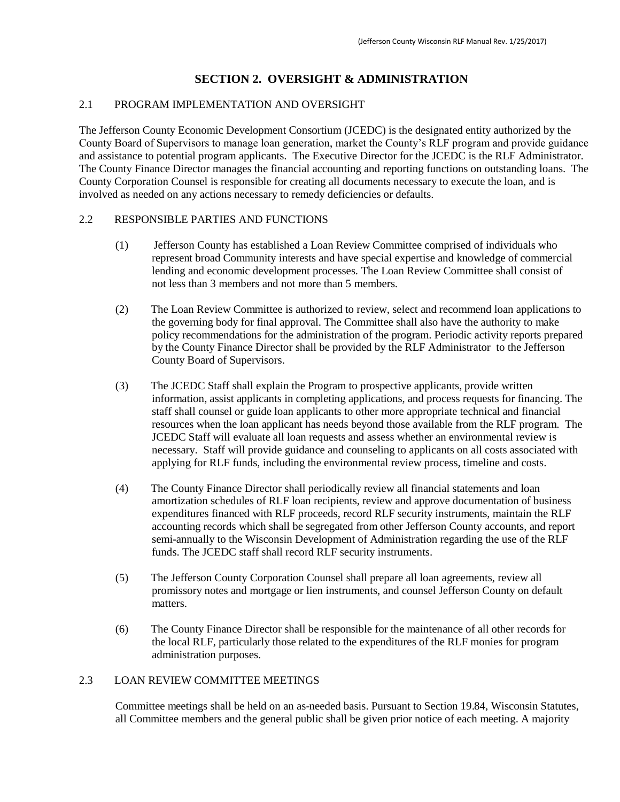#### **SECTION 2. OVERSIGHT & ADMINISTRATION**

#### 2.1 PROGRAM IMPLEMENTATION AND OVERSIGHT

The Jefferson County Economic Development Consortium (JCEDC) is the designated entity authorized by the County Board of Supervisors to manage loan generation, market the County's RLF program and provide guidance and assistance to potential program applicants. The Executive Director for the JCEDC is the RLF Administrator. The County Finance Director manages the financial accounting and reporting functions on outstanding loans. The County Corporation Counsel is responsible for creating all documents necessary to execute the loan, and is involved as needed on any actions necessary to remedy deficiencies or defaults.

#### 2.2 RESPONSIBLE PARTIES AND FUNCTIONS

- (1) Jefferson County has established a Loan Review Committee comprised of individuals who represent broad Community interests and have special expertise and knowledge of commercial lending and economic development processes. The Loan Review Committee shall consist of not less than 3 members and not more than 5 members.
- (2) The Loan Review Committee is authorized to review, select and recommend loan applications to the governing body for final approval. The Committee shall also have the authority to make policy recommendations for the administration of the program. Periodic activity reports prepared by the County Finance Director shall be provided by the RLF Administrator to the Jefferson County Board of Supervisors.
- (3) The JCEDC Staff shall explain the Program to prospective applicants, provide written information, assist applicants in completing applications, and process requests for financing. The staff shall counsel or guide loan applicants to other more appropriate technical and financial resources when the loan applicant has needs beyond those available from the RLF program. The JCEDC Staff will evaluate all loan requests and assess whether an environmental review is necessary. Staff will provide guidance and counseling to applicants on all costs associated with applying for RLF funds, including the environmental review process, timeline and costs.
- (4) The County Finance Director shall periodically review all financial statements and loan amortization schedules of RLF loan recipients, review and approve documentation of business expenditures financed with RLF proceeds, record RLF security instruments, maintain the RLF accounting records which shall be segregated from other Jefferson County accounts, and report semi-annually to the Wisconsin Development of Administration regarding the use of the RLF funds. The JCEDC staff shall record RLF security instruments.
- (5) The Jefferson County Corporation Counsel shall prepare all loan agreements, review all promissory notes and mortgage or lien instruments, and counsel Jefferson County on default matters.
- (6) The County Finance Director shall be responsible for the maintenance of all other records for the local RLF, particularly those related to the expenditures of the RLF monies for program administration purposes.

#### 2.3 LOAN REVIEW COMMITTEE MEETINGS

Committee meetings shall be held on an as-needed basis. Pursuant to Section 19.84, Wisconsin Statutes, all Committee members and the general public shall be given prior notice of each meeting. A majority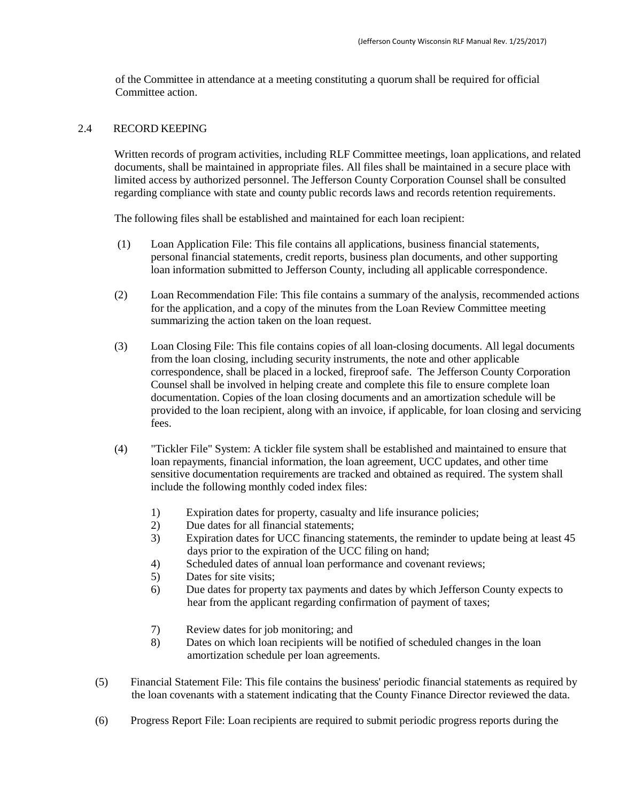of the Committee in attendance at a meeting constituting a quorum shall be required for official Committee action.

#### 2.4 RECORD KEEPING

Written records of program activities, including RLF Committee meetings, loan applications, and related documents, shall be maintained in appropriate files. All files shall be maintained in a secure place with limited access by authorized personnel. The Jefferson County Corporation Counsel shall be consulted regarding compliance with state and county public records laws and records retention requirements.

The following files shall be established and maintained for each loan recipient:

- (1) Loan Application File: This file contains all applications, business financial statements, personal financial statements, credit reports, business plan documents, and other supporting loan information submitted to Jefferson County, including all applicable correspondence.
- (2) Loan Recommendation File: This file contains a summary of the analysis, recommended actions for the application, and a copy of the minutes from the Loan Review Committee meeting summarizing the action taken on the loan request.
- (3) Loan Closing File: This file contains copies of all loan-closing documents. All legal documents from the loan closing, including security instruments, the note and other applicable correspondence, shall be placed in a locked, fireproof safe. The Jefferson County Corporation Counsel shall be involved in helping create and complete this file to ensure complete loan documentation. Copies of the loan closing documents and an amortization schedule will be provided to the loan recipient, along with an invoice, if applicable, for loan closing and servicing fees.
- (4) "Tickler File" System: A tickler file system shall be established and maintained to ensure that loan repayments, financial information, the loan agreement, UCC updates, and other time sensitive documentation requirements are tracked and obtained as required. The system shall include the following monthly coded index files:
	- 1) Expiration dates for property, casualty and life insurance policies;
	- 2) Due dates for all financial statements;
	- 3) Expiration dates for UCC financing statements, the reminder to update being at least 45 days prior to the expiration of the UCC filing on hand;
	- 4) Scheduled dates of annual loan performance and covenant reviews;
	- 5) Dates for site visits;
	- 6) Due dates for property tax payments and dates by which Jefferson County expects to hear from the applicant regarding confirmation of payment of taxes;
	- 7) Review dates for job monitoring; and
	- 8) Dates on which loan recipients will be notified of scheduled changes in the loan amortization schedule per loan agreements.
- (5) Financial Statement File: This file contains the business' periodic financial statements as required by the loan covenants with a statement indicating that the County Finance Director reviewed the data.
- (6) Progress Report File: Loan recipients are required to submit periodic progress reports during the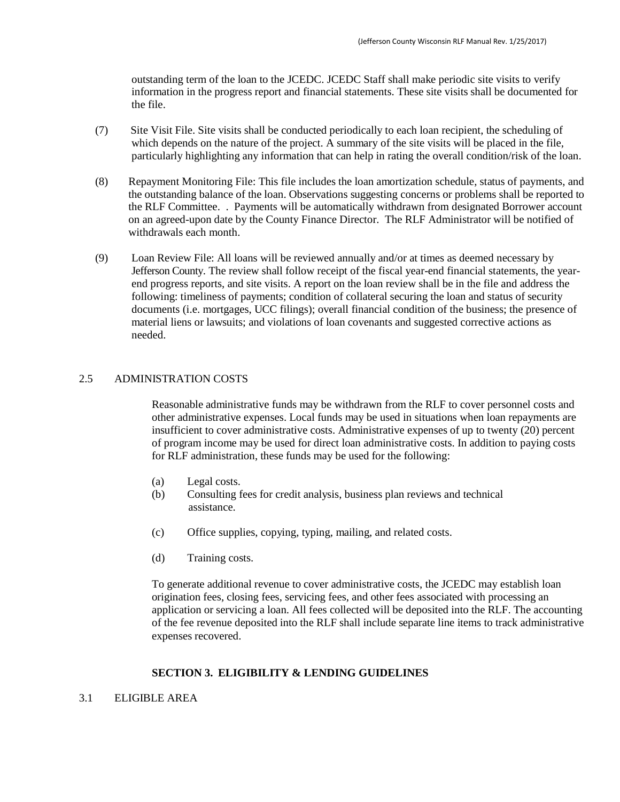outstanding term of the loan to the JCEDC. JCEDC Staff shall make periodic site visits to verify information in the progress report and financial statements. These site visits shall be documented for the file.

- (7) Site Visit File. Site visits shall be conducted periodically to each loan recipient, the scheduling of which depends on the nature of the project. A summary of the site visits will be placed in the file, particularly highlighting any information that can help in rating the overall condition/risk of the loan.
- (8) Repayment Monitoring File: This file includes the loan amortization schedule, status of payments, and the outstanding balance of the loan. Observations suggesting concerns or problems shall be reported to the RLF Committee. . Payments will be automatically withdrawn from designated Borrower account on an agreed-upon date by the County Finance Director. The RLF Administrator will be notified of withdrawals each month.
- (9) Loan Review File: All loans will be reviewed annually and/or at times as deemed necessary by Jefferson County. The review shall follow receipt of the fiscal year-end financial statements, the yearend progress reports, and site visits. A report on the loan review shall be in the file and address the following: timeliness of payments; condition of collateral securing the loan and status of security documents (i.e. mortgages, UCC filings); overall financial condition of the business; the presence of material liens or lawsuits; and violations of loan covenants and suggested corrective actions as needed.

#### 2.5 ADMINISTRATION COSTS

Reasonable administrative funds may be withdrawn from the RLF to cover personnel costs and other administrative expenses. Local funds may be used in situations when loan repayments are insufficient to cover administrative costs. Administrative expenses of up to twenty (20) percent of program income may be used for direct loan administrative costs. In addition to paying costs for RLF administration, these funds may be used for the following:

- (a) Legal costs.
- (b) Consulting fees for credit analysis, business plan reviews and technical assistance.
- (c) Office supplies, copying, typing, mailing, and related costs.
- (d) Training costs.

To generate additional revenue to cover administrative costs, the JCEDC may establish loan origination fees, closing fees, servicing fees, and other fees associated with processing an application or servicing a loan. All fees collected will be deposited into the RLF. The accounting of the fee revenue deposited into the RLF shall include separate line items to track administrative expenses recovered.

#### **SECTION 3. ELIGIBILITY & LENDING GUIDELINES**

3.1 ELIGIBLE AREA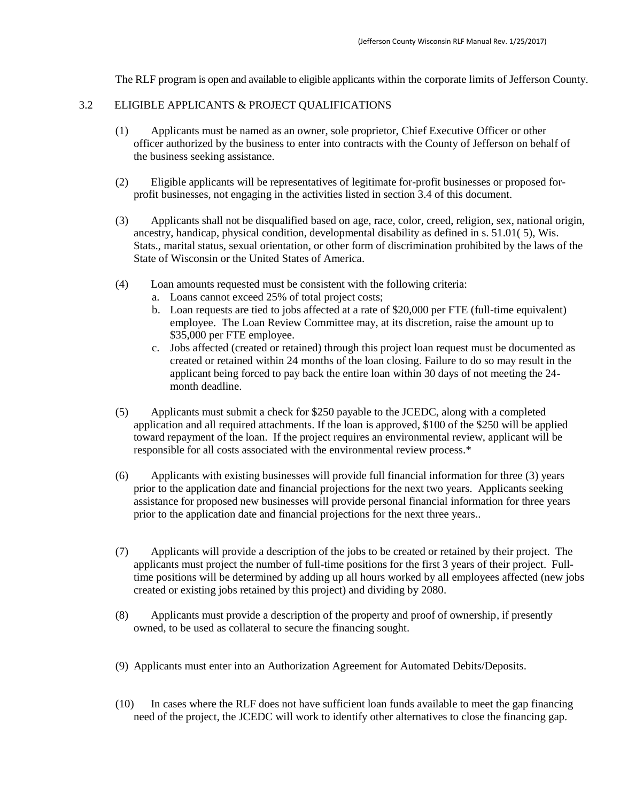The RLF program is open and available to eligible applicants within the corporate limits of Jefferson County.

#### 3.2 ELIGIBLE APPLICANTS & PROJECT QUALIFICATIONS

- (1) Applicants must be named as an owner, sole proprietor, Chief Executive Officer or other officer authorized by the business to enter into contracts with the County of Jefferson on behalf of the business seeking assistance.
- (2) Eligible applicants will be representatives of legitimate for-profit businesses or proposed forprofit businesses, not engaging in the activities listed in section 3.4 of this document.
- (3) Applicants shall not be disqualified based on age, race, color, creed, religion, sex, national origin, ancestry, handicap, physical condition, developmental disability as defined in s. 51.01( 5), Wis. Stats., marital status, sexual orientation, or other form of discrimination prohibited by the laws of the State of Wisconsin or the United States of America.
- (4) Loan amounts requested must be consistent with the following criteria:
	- a. Loans cannot exceed 25% of total project costs;
	- b. Loan requests are tied to jobs affected at a rate of \$20,000 per FTE (full-time equivalent) employee. The Loan Review Committee may, at its discretion, raise the amount up to \$35,000 per FTE employee.
	- c. Jobs affected (created or retained) through this project loan request must be documented as created or retained within 24 months of the loan closing. Failure to do so may result in the applicant being forced to pay back the entire loan within 30 days of not meeting the 24 month deadline.
- (5) Applicants must submit a check for \$250 payable to the JCEDC, along with a completed application and all required attachments. If the loan is approved, \$100 of the \$250 will be applied toward repayment of the loan. If the project requires an environmental review, applicant will be responsible for all costs associated with the environmental review process.\*
- (6) Applicants with existing businesses will provide full financial information for three (3) years prior to the application date and financial projections for the next two years. Applicants seeking assistance for proposed new businesses will provide personal financial information for three years prior to the application date and financial projections for the next three years..
- (7) Applicants will provide a description of the jobs to be created or retained by their project. The applicants must project the number of full-time positions for the first 3 years of their project. Fulltime positions will be determined by adding up all hours worked by all employees affected (new jobs created or existing jobs retained by this project) and dividing by 2080.
- (8) Applicants must provide a description of the property and proof of ownership, if presently owned, to be used as collateral to secure the financing sought.
- (9) Applicants must enter into an Authorization Agreement for Automated Debits/Deposits.
- (10) In cases where the RLF does not have sufficient loan funds available to meet the gap financing need of the project, the JCEDC will work to identify other alternatives to close the financing gap.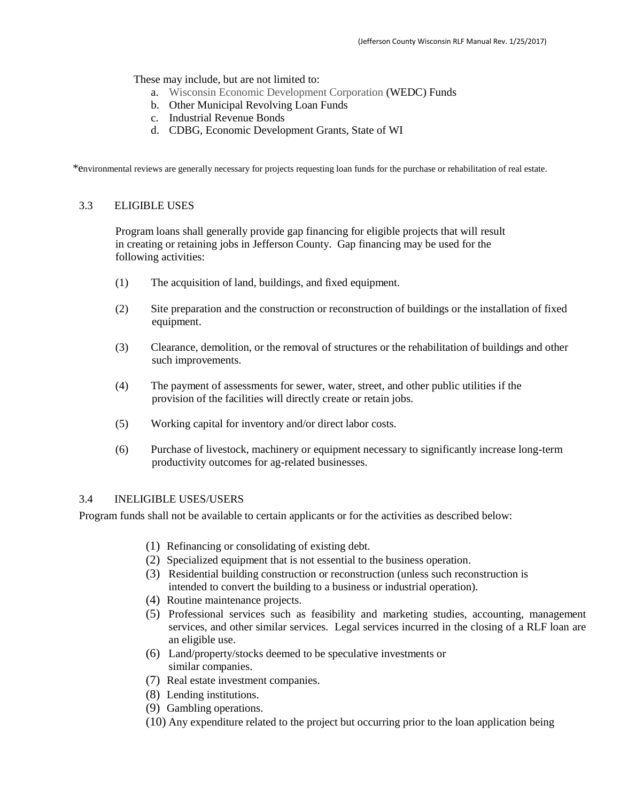These may include, but are not limited to:

- a. Wisconsin Economic Development Corporation (WEDC) Funds
- b. Other Municipal Revolving Loan Funds
- c. Industrial Revenue Bonds
- d. CDBG, Economic Development Grants, State of WI

\*environmental reviews are generally necessary for projects requesting loan funds for the purchase or rehabilitation of real estate.

#### 3.3 ELIGIBLE USES

Program loans shall generally provide gap financing for eligible projects that will result in creating or retaining jobs in Jefferson County. Gap financing may be used for the following activities:

- (1) The acquisition of land, buildings, and fixed equipment.
- (2) Site preparation and the construction or reconstruction of buildings or the installation of fixed equipment.
- (3) Clearance, demolition, or the removal of structures or the rehabilitation of buildings and other such improvements.
- (4) The payment of assessments for sewer, water, street, and other public utilities if the provision of the facilities will directly create or retain jobs.
- (5) Working capital for inventory and/or direct labor costs.
- (6) Purchase of livestock, machinery or equipment necessary to significantly increase long-term productivity outcomes for ag-related businesses.

#### 3.4 INELIGIBLE USES/USERS

Program funds shall not be available to certain applicants or for the activities as described below:

- (1) Refinancing or consolidating of existing debt.
- (2) Specialized equipment that is not essential to the business operation.
- (3) Residential building construction or reconstruction (unless such reconstruction is intended to convert the building to a business or industrial operation).
- (4) Routine maintenance projects.
- (5) Professional services such as feasibility and marketing studies, accounting, management services, and other similar services. Legal services incurred in the closing of a RLF loan are an eligible use.
- (6) Land/property/stocks deemed to be speculative investments or similar companies.
- (7) Real estate investment companies.
- (8) Lending institutions.
- (9) Gambling operations.
- (10) Any expenditure related to the project but occurring prior to the loan application being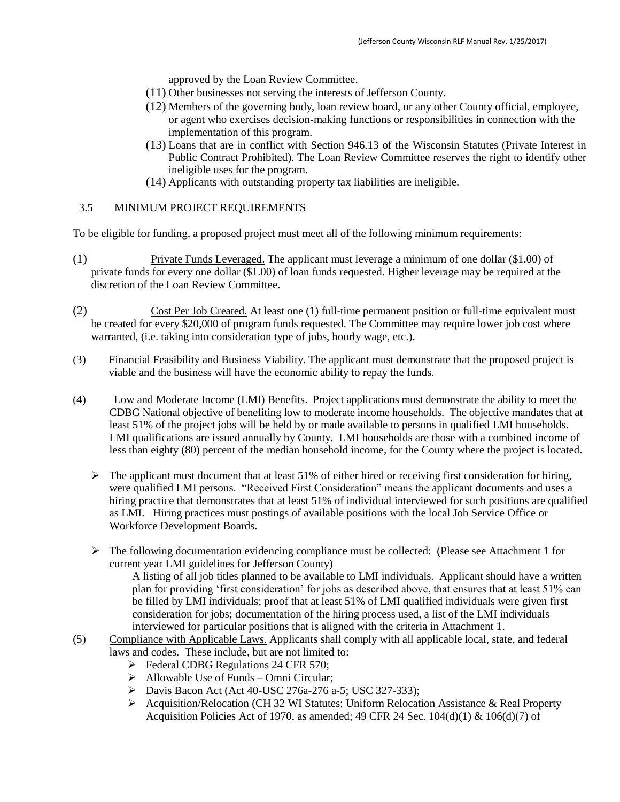approved by the Loan Review Committee.

- (11) Other businesses not serving the interests of Jefferson County.
- (12) Members of the governing body, loan review board, or any other County official, employee, or agent who exercises decision-making functions or responsibilities in connection with the implementation of this program.
- (13) Loans that are in conflict with Section 946.13 of the Wisconsin Statutes (Private Interest in Public Contract Prohibited). The Loan Review Committee reserves the right to identify other ineligible uses for the program.
- (14) Applicants with outstanding property tax liabilities are ineligible.

#### 3.5 MINIMUM PROJECT REQUIREMENTS

To be eligible for funding, a proposed project must meet all of the following minimum requirements:

- (1) Private Funds Leveraged. The applicant must leverage a minimum of one dollar (\$1.00) of private funds for every one dollar (\$1.00) of loan funds requested. Higher leverage may be required at the discretion of the Loan Review Committee.
- (2) Cost Per Job Created. At least one (1) full-time permanent position or full-time equivalent must be created for every \$20,000 of program funds requested. The Committee may require lower job cost where warranted, (i.e. taking into consideration type of jobs, hourly wage, etc.).
- (3) Financial Feasibility and Business Viability. The applicant must demonstrate that the proposed project is viable and the business will have the economic ability to repay the funds.
- (4) Low and Moderate Income (LMI) Benefits. Project applications must demonstrate the ability to meet the CDBG National objective of benefiting low to moderate income households. The objective mandates that at least 51% of the project jobs will be held by or made available to persons in qualified LMI households. LMI qualifications are issued annually by County. LMI households are those with a combined income of less than eighty (80) percent of the median household income, for the County where the project is located.
	- $\triangleright$  The applicant must document that at least 51% of either hired or receiving first consideration for hiring, were qualified LMI persons. "Received First Consideration" means the applicant documents and uses a hiring practice that demonstrates that at least 51% of individual interviewed for such positions are qualified as LMI. Hiring practices must postings of available positions with the local Job Service Office or Workforce Development Boards.
	- The following documentation evidencing compliance must be collected: (Please see Attachment 1 for current year LMI guidelines for Jefferson County)

A listing of all job titles planned to be available to LMI individuals. Applicant should have a written plan for providing 'first consideration' for jobs as described above, that ensures that at least 51% can be filled by LMI individuals; proof that at least 51% of LMI qualified individuals were given first consideration for jobs; documentation of the hiring process used, a list of the LMI individuals interviewed for particular positions that is aligned with the criteria in Attachment 1.

- (5) Compliance with Applicable Laws. Applicants shall comply with all applicable local, state, and federal laws and codes. These include, but are not limited to:
	- $\blacktriangleright$  Federal CDBG Regulations 24 CFR 570;
	- $\triangleright$  Allowable Use of Funds Omni Circular;
	- Davis Bacon Act (Act 40-USC 276a-276 a-5; USC 327-333);
	- Acquisition/Relocation (CH 32 WI Statutes; Uniform Relocation Assistance & Real Property Acquisition Policies Act of 1970, as amended; 49 CFR 24 Sec.  $104(d)(1)$  &  $106(d)(7)$  of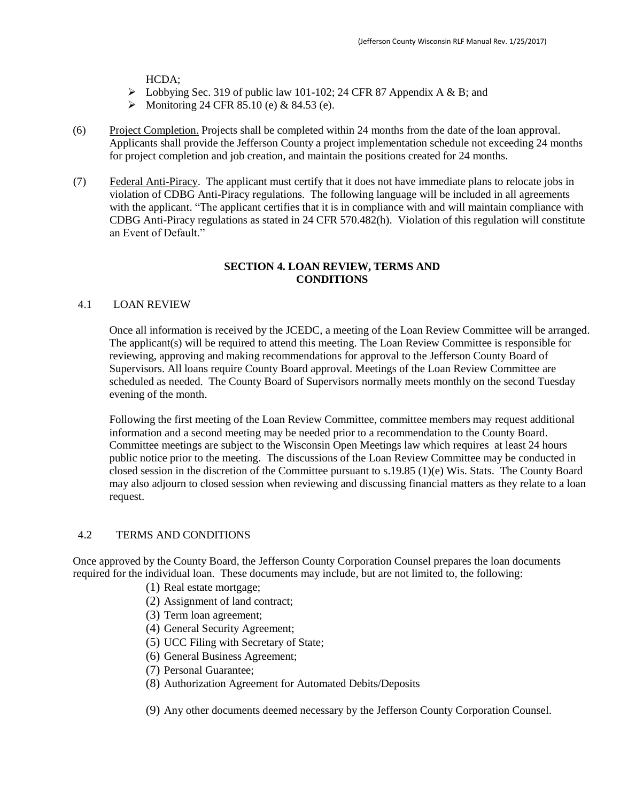HCDA;

- $\triangleright$  Lobbying Sec. 319 of public law 101-102; 24 CFR 87 Appendix A & B; and
- Monitoring 24 CFR 85.10 (e) & 84.53 (e).
- (6) Project Completion. Projects shall be completed within 24 months from the date of the loan approval. Applicants shall provide the Jefferson County a project implementation schedule not exceeding 24 months for project completion and job creation, and maintain the positions created for 24 months.
- (7) Federal Anti-Piracy. The applicant must certify that it does not have immediate plans to relocate jobs in violation of CDBG Anti-Piracy regulations. The following language will be included in all agreements with the applicant. "The applicant certifies that it is in compliance with and will maintain compliance with CDBG Anti-Piracy regulations as stated in 24 CFR 570.482(h). Violation of this regulation will constitute an Event of Default."

#### **SECTION 4. LOAN REVIEW, TERMS AND CONDITIONS**

#### 4.1 LOAN REVIEW

Once all information is received by the JCEDC, a meeting of the Loan Review Committee will be arranged. The applicant(s) will be required to attend this meeting. The Loan Review Committee is responsible for reviewing, approving and making recommendations for approval to the Jefferson County Board of Supervisors. All loans require County Board approval. Meetings of the Loan Review Committee are scheduled as needed. The County Board of Supervisors normally meets monthly on the second Tuesday evening of the month.

Following the first meeting of the Loan Review Committee, committee members may request additional information and a second meeting may be needed prior to a recommendation to the County Board. Committee meetings are subject to the Wisconsin Open Meetings law which requires at least 24 hours public notice prior to the meeting. The discussions of the Loan Review Committee may be conducted in closed session in the discretion of the Committee pursuant to s.19.85 (1)(e) Wis. Stats. The County Board may also adjourn to closed session when reviewing and discussing financial matters as they relate to a loan request.

#### 4.2 TERMS AND CONDITIONS

Once approved by the County Board, the Jefferson County Corporation Counsel prepares the loan documents required for the individual loan. These documents may include, but are not limited to, the following:

- (1) Real estate mortgage;
- (2) Assignment of land contract;
- (3) Term loan agreement;
- (4) General Security Agreement;
- (5) UCC Filing with Secretary of State;
- (6) General Business Agreement;
- (7) Personal Guarantee;
- (8) Authorization Agreement for Automated Debits/Deposits

(9) Any other documents deemed necessary by the Jefferson County Corporation Counsel.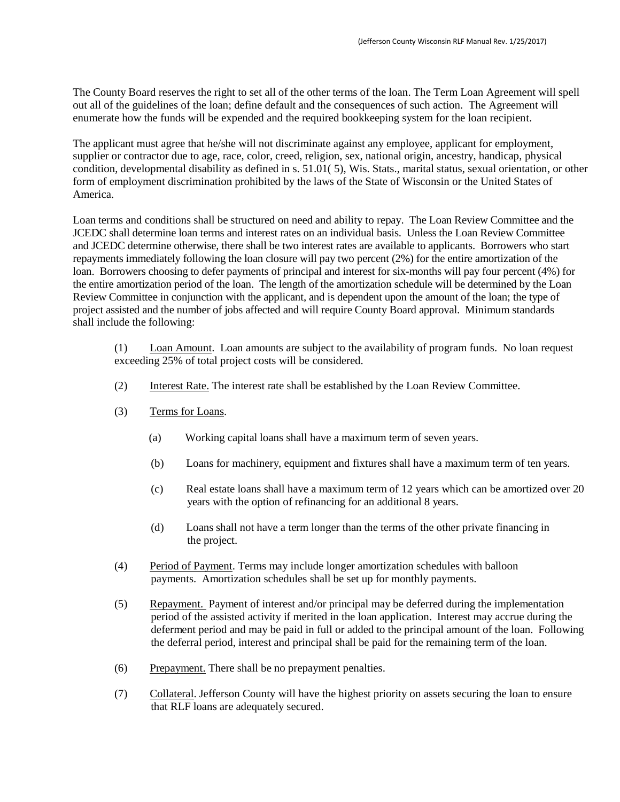The County Board reserves the right to set all of the other terms of the loan. The Term Loan Agreement will spell out all of the guidelines of the loan; define default and the consequences of such action. The Agreement will enumerate how the funds will be expended and the required bookkeeping system for the loan recipient.

The applicant must agree that he/she will not discriminate against any employee, applicant for employment, supplier or contractor due to age, race, color, creed, religion, sex, national origin, ancestry, handicap, physical condition, developmental disability as defined in s. 51.01( 5), Wis. Stats., marital status, sexual orientation, or other form of employment discrimination prohibited by the laws of the State of Wisconsin or the United States of America.

Loan terms and conditions shall be structured on need and ability to repay. The Loan Review Committee and the JCEDC shall determine loan terms and interest rates on an individual basis. Unless the Loan Review Committee and JCEDC determine otherwise, there shall be two interest rates are available to applicants. Borrowers who start repayments immediately following the loan closure will pay two percent (2%) for the entire amortization of the loan. Borrowers choosing to defer payments of principal and interest for six-months will pay four percent (4%) for the entire amortization period of the loan. The length of the amortization schedule will be determined by the Loan Review Committee in conjunction with the applicant, and is dependent upon the amount of the loan; the type of project assisted and the number of jobs affected and will require County Board approval. Minimum standards shall include the following:

(1) Loan Amount. Loan amounts are subject to the availability of program funds. No loan request exceeding 25% of total project costs will be considered.

- (2) Interest Rate. The interest rate shall be established by the Loan Review Committee.
- (3) Terms for Loans.
	- (a) Working capital loans shall have a maximum term of seven years.
	- (b) Loans for machinery, equipment and fixtures shall have a maximum term of ten years.
	- (c) Real estate loans shall have a maximum term of 12 years which can be amortized over 20 years with the option of refinancing for an additional 8 years.
	- (d) Loans shall not have a term longer than the terms of the other private financing in the project.
- (4) Period of Payment. Terms may include longer amortization schedules with balloon payments. Amortization schedules shall be set up for monthly payments.
- (5) Repayment. Payment of interest and/or principal may be deferred during the implementation period of the assisted activity if merited in the loan application. Interest may accrue during the deferment period and may be paid in full or added to the principal amount of the loan. Following the deferral period, interest and principal shall be paid for the remaining term of the loan.
- (6) Prepayment. There shall be no prepayment penalties.
- (7) Collateral. Jefferson County will have the highest priority on assets securing the loan to ensure that RLF loans are adequately secured.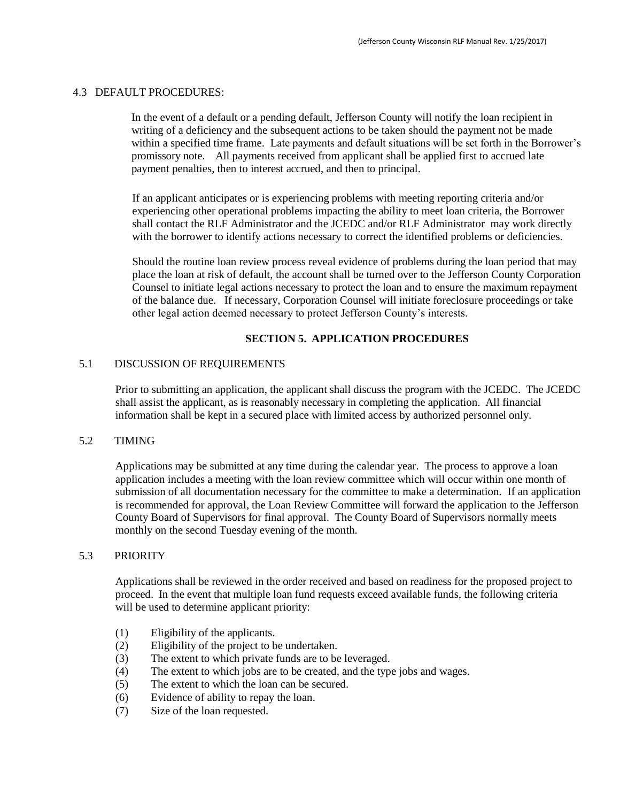#### 4.3 DEFAULT PROCEDURES:

In the event of a default or a pending default, Jefferson County will notify the loan recipient in writing of a deficiency and the subsequent actions to be taken should the payment not be made within a specified time frame. Late payments and default situations will be set forth in the Borrower's promissory note. All payments received from applicant shall be applied first to accrued late payment penalties, then to interest accrued, and then to principal.

If an applicant anticipates or is experiencing problems with meeting reporting criteria and/or experiencing other operational problems impacting the ability to meet loan criteria, the Borrower shall contact the RLF Administrator and the JCEDC and/or RLF Administrator may work directly with the borrower to identify actions necessary to correct the identified problems or deficiencies.

Should the routine loan review process reveal evidence of problems during the loan period that may place the loan at risk of default, the account shall be turned over to the Jefferson County Corporation Counsel to initiate legal actions necessary to protect the loan and to ensure the maximum repayment of the balance due. If necessary, Corporation Counsel will initiate foreclosure proceedings or take other legal action deemed necessary to protect Jefferson County's interests.

#### **SECTION 5. APPLICATION PROCEDURES**

#### 5.1 DISCUSSION OF REQUIREMENTS

Prior to submitting an application, the applicant shall discuss the program with the JCEDC. The JCEDC shall assist the applicant, as is reasonably necessary in completing the application. All financial information shall be kept in a secured place with limited access by authorized personnel only.

#### 5.2 TIMING

Applications may be submitted at any time during the calendar year. The process to approve a loan application includes a meeting with the loan review committee which will occur within one month of submission of all documentation necessary for the committee to make a determination. If an application is recommended for approval, the Loan Review Committee will forward the application to the Jefferson County Board of Supervisors for final approval. The County Board of Supervisors normally meets monthly on the second Tuesday evening of the month.

#### 5.3 PRIORITY

Applications shall be reviewed in the order received and based on readiness for the proposed project to proceed. In the event that multiple loan fund requests exceed available funds, the following criteria will be used to determine applicant priority:

- (1) Eligibility of the applicants.
- (2) Eligibility of the project to be undertaken.
- (3) The extent to which private funds are to be leveraged.
- (4) The extent to which jobs are to be created, and the type jobs and wages.
- (5) The extent to which the loan can be secured.
- (6) Evidence of ability to repay the loan.
- (7) Size of the loan requested.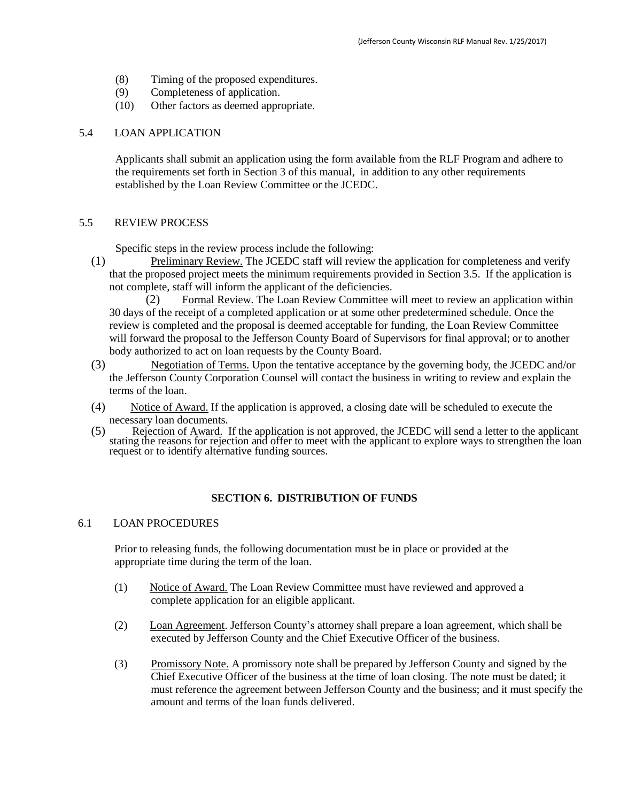- (8) Timing of the proposed expenditures.
- (9) Completeness of application.
- (10) Other factors as deemed appropriate.

#### 5.4 LOAN APPLICATION

Applicants shall submit an application using the form available from the RLF Program and adhere to the requirements set forth in Section 3 of this manual, in addition to any other requirements established by the Loan Review Committee or the JCEDC.

#### 5.5 REVIEW PROCESS

Specific steps in the review process include the following:

(1) Preliminary Review. The JCEDC staff will review the application for completeness and verify that the proposed project meets the minimum requirements provided in Section 3.5. If the application is not complete, staff will inform the applicant of the deficiencies.

(2) Formal Review. The Loan Review Committee will meet to review an application within 30 days of the receipt of a completed application or at some other predetermined schedule. Once the review is completed and the proposal is deemed acceptable for funding, the Loan Review Committee will forward the proposal to the Jefferson County Board of Supervisors for final approval; or to another body authorized to act on loan requests by the County Board.

- (3) Negotiation of Terms. Upon the tentative acceptance by the governing body, the JCEDC and/or the Jefferson County Corporation Counsel will contact the business in writing to review and explain the terms of the loan.
- (4) Notice of Award. If the application is approved, a closing date will be scheduled to execute the necessary loan documents.
- (5) Rejection of Award. If the application is not approved, the JCEDC will send a letter to the applicant stating the reasons for rejection and offer to meet with the applicant to explore ways to strengthen the loan request or to identify alternative funding sources.

#### **SECTION 6. DISTRIBUTION OF FUNDS**

#### 6.1 LOAN PROCEDURES

Prior to releasing funds, the following documentation must be in place or provided at the appropriate time during the term of the loan.

- (1) Notice of Award. The Loan Review Committee must have reviewed and approved a complete application for an eligible applicant.
- (2) Loan Agreement. Jefferson County's attorney shall prepare a loan agreement, which shall be executed by Jefferson County and the Chief Executive Officer of the business.
- (3) Promissory Note. A promissory note shall be prepared by Jefferson County and signed by the Chief Executive Officer of the business at the time of loan closing. The note must be dated; it must reference the agreement between Jefferson County and the business; and it must specify the amount and terms of the loan funds delivered.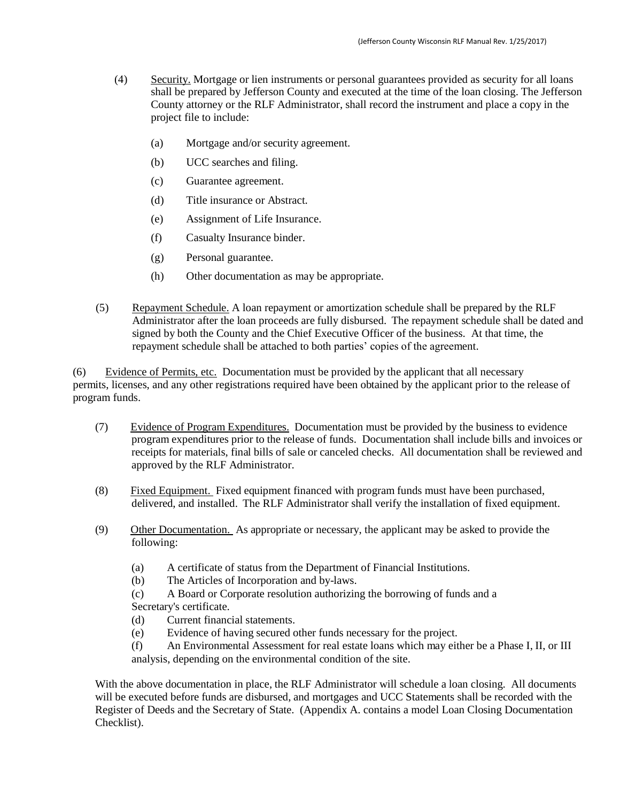- (4) Security. Mortgage or lien instruments or personal guarantees provided as security for all loans shall be prepared by Jefferson County and executed at the time of the loan closing. The Jefferson County attorney or the RLF Administrator, shall record the instrument and place a copy in the project file to include:
	- (a) Mortgage and/or security agreement.
	- (b) UCC searches and filing.
	- (c) Guarantee agreement.
	- (d) Title insurance or Abstract.
	- (e) Assignment of Life Insurance.
	- (f) Casualty Insurance binder.
	- (g) Personal guarantee.
	- (h) Other documentation as may be appropriate.
- (5) Repayment Schedule. A loan repayment or amortization schedule shall be prepared by the RLF Administrator after the loan proceeds are fully disbursed. The repayment schedule shall be dated and signed by both the County and the Chief Executive Officer of the business. At that time, the repayment schedule shall be attached to both parties' copies of the agreement.

(6) Evidence of Permits, etc. Documentation must be provided by the applicant that all necessary permits, licenses, and any other registrations required have been obtained by the applicant prior to the release of program funds.

- (7) Evidence of Program Expenditures. Documentation must be provided by the business to evidence program expenditures prior to the release of funds. Documentation shall include bills and invoices or receipts for materials, final bills of sale or canceled checks. All documentation shall be reviewed and approved by the RLF Administrator.
- (8) Fixed Equipment. Fixed equipment financed with program funds must have been purchased, delivered, and installed. The RLF Administrator shall verify the installation of fixed equipment.
- (9) Other Documentation. As appropriate or necessary, the applicant may be asked to provide the following:
	- (a) A certificate of status from the Department of Financial Institutions.
	- (b) The Articles of Incorporation and by-laws.

(c) A Board or Corporate resolution authorizing the borrowing of funds and a Secretary's certificate.

- (d) Current financial statements.
- (e) Evidence of having secured other funds necessary for the project.

(f) An Environmental Assessment for real estate loans which may either be a Phase I, II, or III analysis, depending on the environmental condition of the site.

With the above documentation in place, the RLF Administrator will schedule a loan closing. All documents will be executed before funds are disbursed, and mortgages and UCC Statements shall be recorded with the Register of Deeds and the Secretary of State. (Appendix A. contains a model Loan Closing Documentation Checklist).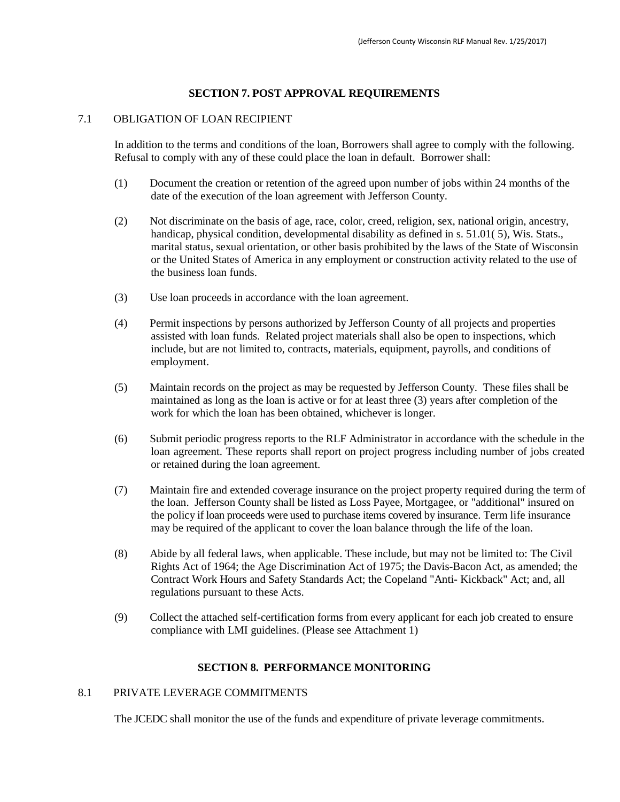#### **SECTION 7. POST APPROVAL REQUIREMENTS**

#### 7.1 OBLIGATION OF LOAN RECIPIENT

In addition to the terms and conditions of the loan, Borrowers shall agree to comply with the following. Refusal to comply with any of these could place the loan in default. Borrower shall:

- (1) Document the creation or retention of the agreed upon number of jobs within 24 months of the date of the execution of the loan agreement with Jefferson County.
- (2) Not discriminate on the basis of age, race, color, creed, religion, sex, national origin, ancestry, handicap, physical condition, developmental disability as defined in s. 51.01(5), Wis. Stats., marital status, sexual orientation, or other basis prohibited by the laws of the State of Wisconsin or the United States of America in any employment or construction activity related to the use of the business loan funds.
- (3) Use loan proceeds in accordance with the loan agreement.
- (4) Permit inspections by persons authorized by Jefferson County of all projects and properties assisted with loan funds. Related project materials shall also be open to inspections, which include, but are not limited to, contracts, materials, equipment, payrolls, and conditions of employment.
- (5) Maintain records on the project as may be requested by Jefferson County. These files shall be maintained as long as the loan is active or for at least three (3) years after completion of the work for which the loan has been obtained, whichever is longer.
- (6) Submit periodic progress reports to the RLF Administrator in accordance with the schedule in the loan agreement. These reports shall report on project progress including number of jobs created or retained during the loan agreement.
- (7) Maintain fire and extended coverage insurance on the project property required during the term of the loan. Jefferson County shall be listed as Loss Payee, Mortgagee, or "additional" insured on the policy if loan proceeds were used to purchase items covered by insurance. Term life insurance may be required of the applicant to cover the loan balance through the life of the loan.
- (8) Abide by all federal laws, when applicable. These include, but may not be limited to: The Civil Rights Act of 1964; the Age Discrimination Act of 1975; the Davis-Bacon Act, as amended; the Contract Work Hours and Safety Standards Act; the Copeland "Anti- Kickback" Act; and, all regulations pursuant to these Acts.
- (9) Collect the attached self-certification forms from every applicant for each job created to ensure compliance with LMI guidelines. (Please see Attachment 1)

#### **SECTION 8. PERFORMANCE MONITORING**

#### 8.1 PRIVATE LEVERAGE COMMITMENTS

The JCEDC shall monitor the use of the funds and expenditure of private leverage commitments.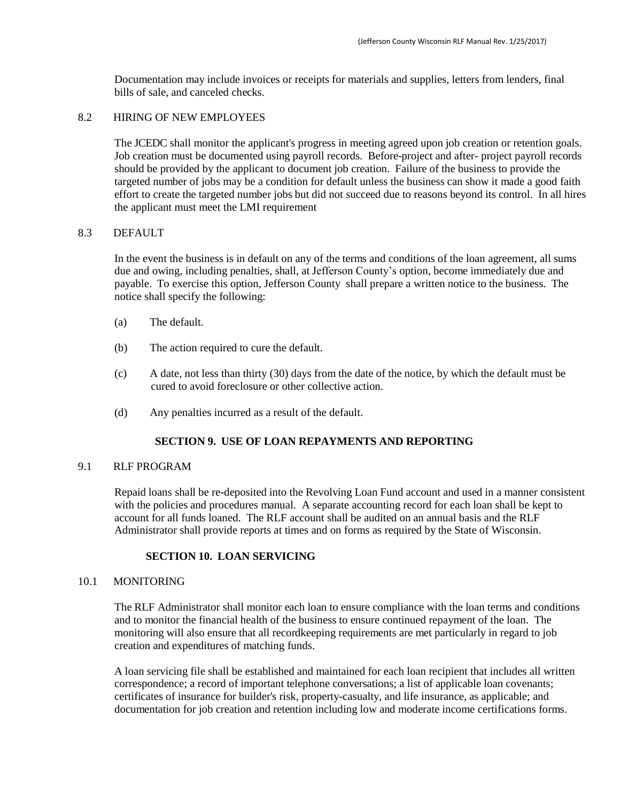Documentation may include invoices or receipts for materials and supplies, letters from lenders, final bills of sale, and canceled checks.

#### 8.2 HIRING OF NEW EMPLOYEES

The JCEDC shall monitor the applicant's progress in meeting agreed upon job creation or retention goals. Job creation must be documented using payroll records. Before-project and after- project payroll records should be provided by the applicant to document job creation. Failure of the business to provide the targeted number of jobs may be a condition for default unless the business can show it made a good faith effort to create the targeted number jobs but did not succeed due to reasons beyond its control. In all hires the applicant must meet the LMI requirement

#### 8.3 DEFAULT

In the event the business is in default on any of the terms and conditions of the loan agreement, all sums due and owing, including penalties, shall, at Jefferson County's option, become immediately due and payable. To exercise this option, Jefferson County shall prepare a written notice to the business. The notice shall specify the following:

- (a) The default.
- (b) The action required to cure the default.
- (c) A date, not less than thirty (30) days from the date of the notice, by which the default must be cured to avoid foreclosure or other collective action.
- (d) Any penalties incurred as a result of the default.

#### **SECTION 9. USE OF LOAN REPAYMENTS AND REPORTING**

#### 9.1 RLF PROGRAM

Repaid loans shall be re-deposited into the Revolving Loan Fund account and used in a manner consistent with the policies and procedures manual. A separate accounting record for each loan shall be kept to account for all funds loaned. The RLF account shall be audited on an annual basis and the RLF Administrator shall provide reports at times and on forms as required by the State of Wisconsin.

#### **SECTION 10. LOAN SERVICING**

#### 10.1 MONITORING

The RLF Administrator shall monitor each loan to ensure compliance with the loan terms and conditions and to monitor the financial health of the business to ensure continued repayment of the loan. The monitoring will also ensure that all recordkeeping requirements are met particularly in regard to job creation and expenditures of matching funds.

A loan servicing file shall be established and maintained for each loan recipient that includes all written correspondence; a record of important telephone conversations; a list of applicable loan covenants; certificates of insurance for builder's risk, property-casualty, and life insurance, as applicable; and documentation for job creation and retention including low and moderate income certifications forms.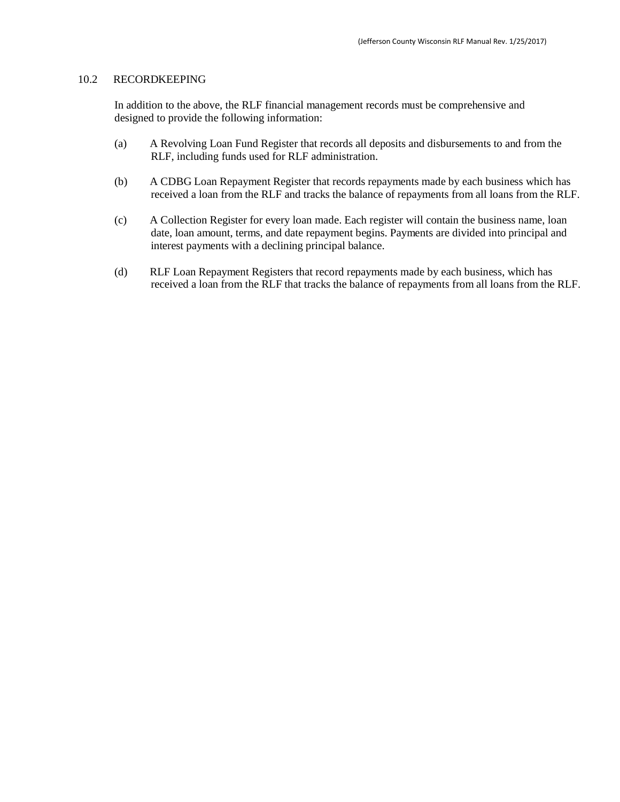#### 10.2 RECORDKEEPING

In addition to the above, the RLF financial management records must be comprehensive and designed to provide the following information:

- (a) A Revolving Loan Fund Register that records all deposits and disbursements to and from the RLF, including funds used for RLF administration.
- (b) A CDBG Loan Repayment Register that records repayments made by each business which has received a loan from the RLF and tracks the balance of repayments from all loans from the RLF.
- (c) A Collection Register for every loan made. Each register will contain the business name, loan date, loan amount, terms, and date repayment begins. Payments are divided into principal and interest payments with a declining principal balance.
- (d) RLF Loan Repayment Registers that record repayments made by each business, which has received a loan from the RLF that tracks the balance of repayments from all loans from the RLF.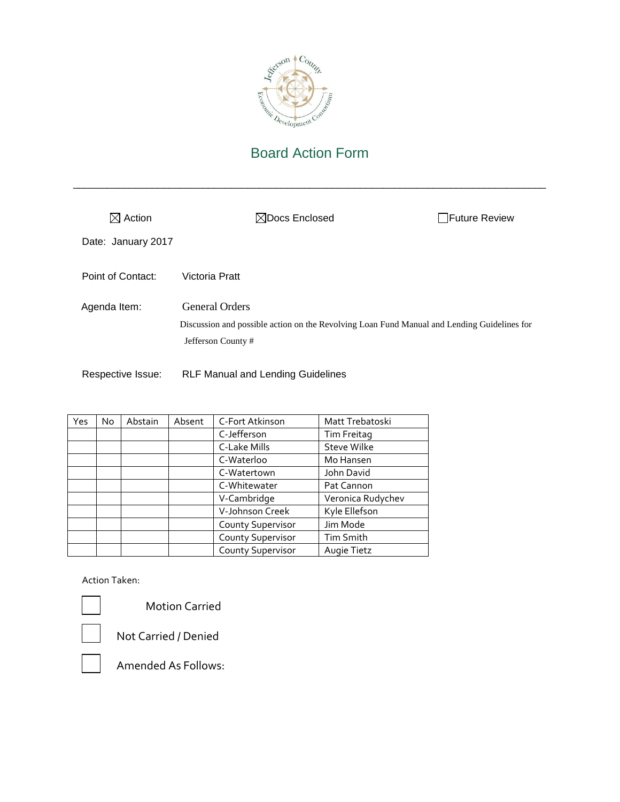

\_\_\_\_\_\_\_\_\_\_\_\_\_\_\_\_\_\_\_\_\_\_\_\_\_\_\_\_\_\_\_\_\_\_\_\_\_\_\_\_\_\_\_\_\_\_\_\_\_\_\_\_\_\_\_\_\_\_\_\_\_\_\_\_\_\_\_\_\_\_\_\_\_\_\_\_\_\_\_\_\_\_\_\_

| $\boxtimes$ Action | $\boxtimes$ Docs Enclosed                                                                                                                 | □Future Review |
|--------------------|-------------------------------------------------------------------------------------------------------------------------------------------|----------------|
| Date: January 2017 |                                                                                                                                           |                |
| Point of Contact:  | Victoria Pratt                                                                                                                            |                |
| Agenda Item:       | <b>General Orders</b><br>Discussion and possible action on the Revolving Loan Fund Manual and Lending Guidelines for<br>Jefferson County# |                |
| Respective Issue:  | <b>RLF Manual and Lending Guidelines</b>                                                                                                  |                |

| Yes | No. | Abstain | Absent | C-Fort Atkinson          | Matt Trebatoski    |
|-----|-----|---------|--------|--------------------------|--------------------|
|     |     |         |        | C-Jefferson              | Tim Freitag        |
|     |     |         |        | C-Lake Mills             | <b>Steve Wilke</b> |
|     |     |         |        | C-Waterloo               | Mo Hansen          |
|     |     |         |        | C-Watertown              | John David         |
|     |     |         |        | C-Whitewater             | Pat Cannon         |
|     |     |         |        | V-Cambridge              | Veronica Rudychev  |
|     |     |         |        | V-Johnson Creek          | Kyle Ellefson      |
|     |     |         |        | <b>County Supervisor</b> | Jim Mode           |
|     |     |         |        | County Supervisor        | Tim Smith          |
|     |     |         |        | <b>County Supervisor</b> | Augie Tietz        |

Action Taken:



Motion Carried



Not Carried / Denied

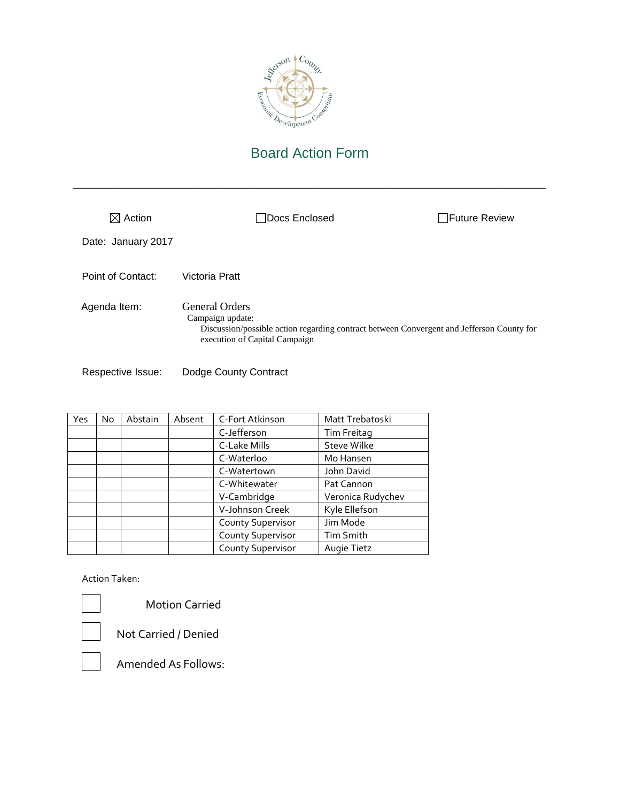

\_\_\_\_\_\_\_\_\_\_\_\_\_\_\_\_\_\_\_\_\_\_\_\_\_\_\_\_\_\_\_\_\_\_\_\_\_\_\_\_\_\_\_\_\_\_\_\_\_\_\_\_\_\_\_\_\_\_\_\_\_\_\_\_\_\_\_\_\_\_\_\_\_\_\_\_\_\_\_\_\_\_\_\_

| $\boxtimes$ Action | Docs Enclosed                                                                                                                                                           | <b>Future Review</b> |
|--------------------|-------------------------------------------------------------------------------------------------------------------------------------------------------------------------|----------------------|
| Date: January 2017 |                                                                                                                                                                         |                      |
| Point of Contact:  | Victoria Pratt                                                                                                                                                          |                      |
| Agenda Item:       | <b>General Orders</b><br>Campaign update:<br>Discussion/possible action regarding contract between Convergent and Jefferson County for<br>execution of Capital Campaign |                      |

Respective Issue: Dodge County Contract

| Yes | No | Abstain | Absent | C-Fort Atkinson          | Matt Trebatoski    |
|-----|----|---------|--------|--------------------------|--------------------|
|     |    |         |        | C-Jefferson              | Tim Freitag        |
|     |    |         |        | C-Lake Mills             | <b>Steve Wilke</b> |
|     |    |         |        | C-Waterloo               | Mo Hansen          |
|     |    |         |        | C-Watertown              | John David         |
|     |    |         |        | C-Whitewater             | Pat Cannon         |
|     |    |         |        | V-Cambridge              | Veronica Rudychev  |
|     |    |         |        | V-Johnson Creek          | Kyle Ellefson      |
|     |    |         |        | <b>County Supervisor</b> | Jim Mode           |
|     |    |         |        | County Supervisor        | <b>Tim Smith</b>   |
|     |    |         |        | <b>County Supervisor</b> | Augie Tietz        |

Action Taken:



Motion Carried

Not Carried / Denied